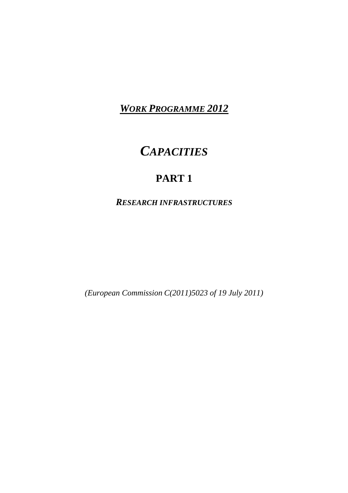*WORK PROGRAMME 2012*

# *CAPACITIES*

# **PART 1**

<span id="page-0-0"></span>*RESEARCH INFRASTRUCTURES*

*(European Commission C(2011)5023 of 19 July 2011)*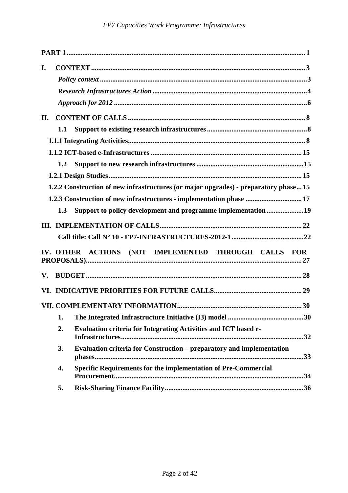| L.                                                                                  |
|-------------------------------------------------------------------------------------|
|                                                                                     |
|                                                                                     |
|                                                                                     |
| II.                                                                                 |
| 1.1                                                                                 |
|                                                                                     |
|                                                                                     |
| 1.2                                                                                 |
|                                                                                     |
| 1.2.2 Construction of new infrastructures (or major upgrades) - preparatory phase15 |
| 1.2.3 Construction of new infrastructures - implementation phase  17                |
| Support to policy development and programme implementation19<br>1.3                 |
|                                                                                     |
|                                                                                     |
| IV. OTHER ACTIONS (NOT IMPLEMENTED THROUGH CALLS FOR                                |
| V.                                                                                  |
|                                                                                     |
|                                                                                     |
| 1.                                                                                  |
| 2.<br><b>Evaluation criteria for Integrating Activities and ICT based e-</b>        |
| Evaluation criteria for Construction – preparatory and implementation<br>3.         |
| <b>Specific Requirements for the implementation of Pre-Commercial</b><br>4.         |
| 5.                                                                                  |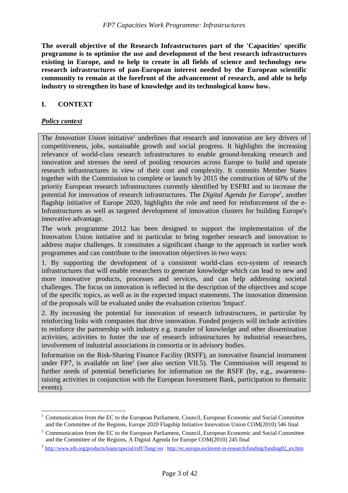**The overall objective of the Research Infrastructures part of the 'Capacities' specific programme is to optimise the use and development of the best research infrastructures existing in Europe, and to help to create in all fields of science and technology new research infrastructures of pan-European interest needed by the European scientific community to remain at the forefront of the advancement of research, and able to help industry to strengthen its base of knowledge and its technological know how.** 

# <span id="page-2-0"></span>**I. CONTEXT**

# <span id="page-2-1"></span>*Policy context*

 $\overline{a}$ 

The *Innovation Union* initiative<sup>1</sup> underlines that research and innovation are key drivers of competitiveness, jobs, sustainable growth and social progress. It highlights the increasing relevance of world-class research infrastructures to enable ground-breaking research and innovation and stresses the need of pooling resources across Europe to build and operate research infrastructures in view of their cost and complexity. It commits Member States together with the Commission to complete or launch by 2015 the construction of 60% of the priority European research infrastructures currently identified by ESFRI and to increase the potential for innovation of research infrastructures. The *Digital Agenda for Europe*<sup>2</sup>, another flagship initiative of Europe 2020, highlights the role and need for reinforcement of the e-Infrastructures as well as targeted development of innovation clusters for building Europe's innovative advantage.

The work programme 2012 has been designed to support the implementation of the Innovation Union initiative and in particular to bring together research and innovation to address major challenges. It constitutes a significant change to the approach in earlier work programmes and can contribute to the innovation objectives in two ways:

1. By supporting the development of a consistent world-class eco-system of research infrastructures that will enable researchers to generate knowledge which can lead to new and more innovative products, processes and services, and can help addressing societal challenges. The focus on innovation is reflected in the description of the objectives and scope of the specific topics, as well as in the expected impact statements. The innovation dimension of the proposals will be evaluated under the evaluation criterion 'Impact'.

2. By increasing the potential for innovation of research infrastructures, in particular by reinforcing links with companies that drive innovation. Funded projects will include activities to reinforce the partnership with industry e.g. transfer of knowledge and other dissemination activities, activities to foster the use of research infrastructures by industrial researchers, involvement of industrial associations in consortia or in advisory bodies.

Information on the Risk-Sharing Finance Facility (RSFF), an innovative financial instrument under FP7, is available on line<sup>3</sup> (see also section VII.5). The Commission will respond to further needs of potential beneficiaries for information on the RSFF (by, e.g., awarenessraising activities in conjunction with the European Investment Bank, participation to thematic events).

<sup>&</sup>lt;sup>1</sup> Communication from the EC to the European Parliament, Council, European Economic and Social Committee and the Committee of the Regions, Europe 2020 Flagship Initiative Innovation Union COM(2010) 546 final

 $2^2$  Communication from the EC to the European Parliament, Council, European Economic and Social Committee and the Committee of the Regions, A Digital Agenda for Europe COM(2010) 245 final

<sup>&</sup>lt;sup>3</sup> http://www.eib.org/products/loans/special/rsf<u>f/?lang=en</u>; http://ec.europa.eu/invest-in-research/funding/funding02\_en.htm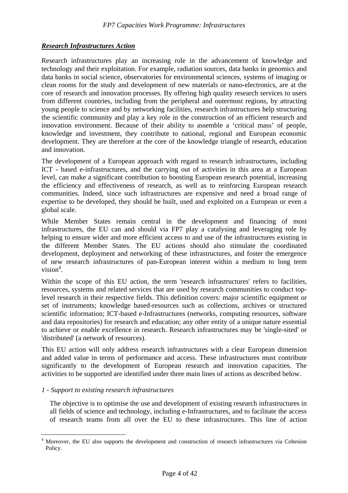# <span id="page-3-0"></span>*Research Infrastructures Action*

Research infrastructures play an increasing role in the advancement of knowledge and technology and their exploitation. For example, radiation sources, data banks in genomics and data banks in social science, observatories for environmental sciences, systems of imaging or clean rooms for the study and development of new materials or nano-electronics, are at the core of research and innovation processes. By offering high quality research services to users from different countries, including from the peripheral and outermost regions, by attracting young people to science and by networking facilities, research infrastructures help structuring the scientific community and play a key role in the construction of an efficient research and innovation environment. Because of their ability to assemble a 'critical mass' of people, knowledge and investment, they contribute to national, regional and European economic development. They are therefore at the core of the knowledge triangle of research, education and innovation.

The development of a European approach with regard to research infrastructures, including ICT - based e-infrastructures, and the carrying out of activities in this area at a European level, can make a significant contribution to boosting European research potential, increasing the efficiency and effectiveness of research, as well as to reinforcing European research communities. Indeed, since such infrastructures are expensive and need a broad range of expertise to be developed, they should be built, used and exploited on a European or even a global scale.

While Member States remain central in the development and financing of most infrastructures, the EU can and should via FP7 play a catalysing and leveraging role by helping to ensure wider and more efficient access to and use of the infrastructures existing in the different Member States. The EU actions should also stimulate the coordinated development, deployment and networking of these infrastructures, and foster the emergence of new research infrastructures of pan-European interest within a medium to long term  $vision<sup>4</sup>$ .

Within the scope of this EU action, the term 'research infrastructures' refers to facilities, resources, systems and related services that are used by research communities to conduct toplevel research in their respective fields. This definition covers: major scientific equipment or set of instruments; knowledge based-resources such as collections, archives or structured scientific information; ICT-based e-Infrastructures (networks, computing resources, software and data repositories) for research and education; any other entity of a unique nature essential to achieve or enable excellence in research. Research infrastructures may be 'single-sited' or 'distributed' (a network of resources).

This EU action will only address research infrastructures with a clear European dimension and added value in terms of performance and access. These infrastructures must contribute significantly to the development of European research and innovation capacities. The activities to be supported are identified under three main lines of actions as described below.

#### *1 - Support to existing research infrastructures*

 $\overline{a}$ 

The objective is to optimise the use and development of existing research infrastructures in all fields of science and technology, including e-Infrastructures, and to facilitate the access of research teams from all over the EU to these infrastructures. This line of action

<sup>4</sup> Moreover, the EU also supports the development and construction of research infrastructures via Cohesion Policy.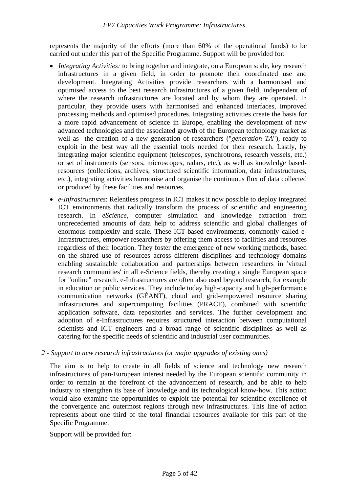represents the majority of the efforts (more than 60% of the operational funds) to be carried out under this part of the Specific Programme. Support will be provided for:

- *Integrating Activities:* to bring together and integrate, on a European scale, key research infrastructures in a given field, in order to promote their coordinated use and development. Integrating Activities provide researchers with a harmonised and optimised access to the best research infrastructures of a given field, independent of where the research infrastructures are located and by whom they are operated. In particular, they provide users with harmonised and enhanced interfaces, improved processing methods and optimised procedures. Integrating activities create the basis for a more rapid advancement of science in Europe, enabling the development of new advanced technologies and the associated growth of the European technology market as well as the creation of a new generation of researchers ("*generation TA*"), ready to exploit in the best way all the essential tools needed for their research. Lastly, by integrating major scientific equipment (telescopes, synchrotrons, research vessels, etc.) or set of instruments (sensors, microscopes, radars, etc.), as well as knowledge basedresources (collections, archives, structured scientific information, data infrastructures, etc.), integrating activities harmonise and organise the continuous flux of data collected or produced by these facilities and resources.
- *e-Infrastructures*: Relentless progress in ICT makes it now possible to deploy integrated ICT environments that radically transform the process of scientific and engineering research. In *eScience*, computer simulation and knowledge extraction from unprecedented amounts of data help to address scientific and global challenges of enormous complexity and scale. These ICT-based environments, commonly called e-Infrastructures, empower researchers by offering them access to facilities and resources regardless of their location. They foster the emergence of new working methods, based on the shared use of resources across different disciplines and technology domains enabling sustainable collaboration and partnerships between researchers in 'virtual research communities' in all e-Science fields, thereby creating a single European space for "online" research. e-Infrastructures are often also used beyond research, for example in education or public services. They include today high-capacity and high-performance communication networks (GÉANT), cloud and grid-empowered resource sharing infrastructures and supercomputing facilities (PRACE), combined with scientific application software, data repositories and services. The further development and adoption of e-Infrastructures requires structured interaction between computational scientists and ICT engineers and a broad range of scientific disciplines as well as catering for the specific needs of scientific and industrial user communities.

# *2 - Support to new research infrastructures (or major upgrades of existing ones)*

The aim is to help to create in all fields of science and technology new research infrastructures of pan-European interest needed by the European scientific community in order to remain at the forefront of the advancement of research, and be able to help industry to strengthen its base of knowledge and its technological know-how. This action would also examine the opportunities to exploit the potential for scientific excellence of the convergence and outermost regions through new infrastructures. This line of action represents about one third of the total financial resources available for this part of the Specific Programme.

Support will be provided for: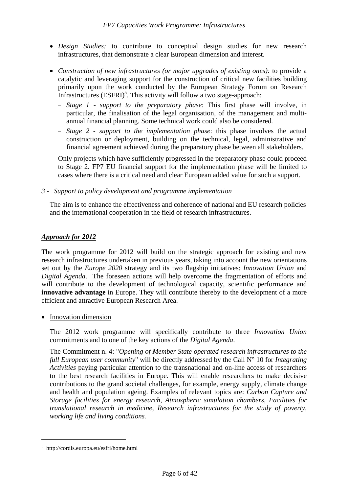- *Design Studies:* to contribute to conceptual design studies for new research infrastructures, that demonstrate a clear European dimension and interest.
- *Construction of new infrastructures (or major upgrades of existing ones):* to provide a catalytic and leveraging support for the construction of critical new facilities building primarily upon the work conducted by the European Strategy Forum on Research Infrastructures  $(ESFRI)^5$ . This activity will follow a two stage-approach:
	- – *Stage 1 support to the preparatory phase*: This first phase will involve, in particular, the finalisation of the legal organisation, of the management and multiannual financial planning. Some technical work could also be considered*.*
	- – *Stage 2 support to the implementation phase*: this phase involves the actual construction or deployment, building on the technical, legal, administrative and financial agreement achieved during the preparatory phase between all stakeholders.

Only projects which have sufficiently progressed in the preparatory phase could proceed to Stage 2. FP7 EU financial support for the implementation phase will be limited to cases where there is a critical need and clear European added value for such a support.

*3 - Support to policy development and programme implementation* 

The aim is to enhance the effectiveness and coherence of national and EU research policies and the international cooperation in the field of research infrastructures.

# <span id="page-5-0"></span>*Approach for 2012*

The work programme for 2012 will build on the strategic approach for existing and new research infrastructures undertaken in previous years, taking into account the new orientations set out by the *Europe 2020* strategy and its two flagship initiatives: *Innovation Union* and *Digital Agenda*. The foreseen actions will help overcome the fragmentation of efforts and will contribute to the development of technological capacity, scientific performance and **innovative advantage** in Europe. They will contribute thereby to the development of a more efficient and attractive European Research Area.

• Innovation dimension

The 2012 work programme will specifically contribute to three *Innovation Union* commitments and to one of the key actions of the *Digital Agenda*.

The Commitment n. 4: "*Opening of Member State operated research infrastructures to the full European user community*" will be directly addressed by the Call N° 10 for *Integrating Activities* paying particular attention to the transnational and on-line access of researchers to the best research facilities in Europe. This will enable researchers to make decisive contributions to the grand societal challenges, for example, energy supply, climate change and health and population ageing. Examples of relevant topics are: *Carbon Capture and Storage facilities for energy research*, *Atmospheric simulation chambers*, *Facilities for translational research in medicine*, *Research infrastructures for the study of poverty, working life and living conditions.*

<sup>5</sup> http://cordis.europa.eu/esfri/home.html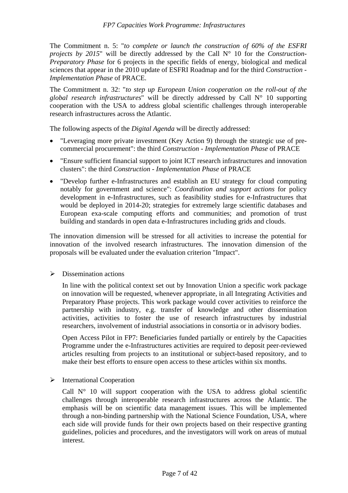The Commitment n. 5: "*to complete or launch the construction of 60% of the ESFRI projects by 2015*" will be directly addressed by the Call N° 10 for the *Construction-Preparatory Phase* for 6 projects in the specific fields of energy, biological and medical sciences that appear in the 2010 update of ESFRI Roadmap and for the third *Construction - Implementation Phase* of PRACE.

The Commitment n. 32: "*to step up European Union cooperation on the roll-out of the global research infrastructures*" will be directly addressed by Call N° 10 supporting cooperation with the USA to address global scientific challenges through interoperable research infrastructures across the Atlantic.

The following aspects of the *Digital Agenda* will be directly addressed:

- "Leveraging more private investment (Key Action 9) through the strategic use of precommercial procurement": the third *Construction - Implementation Phase* of PRACE
- "Ensure sufficient financial support to joint ICT research infrastructures and innovation clusters": the third *Construction - Implementation Phase* of PRACE
- "Develop further e-Infrastructures and establish an EU strategy for cloud computing notably for government and science": *Coordination and support actions* for policy development in e-Infrastructures, such as feasibility studies for e-Infrastructures that would be deployed in 2014-20; strategies for extremely large scientific databases and European exa-scale computing efforts and communities; and promotion of trust building and standards in open data e-Infrastructures including grids and clouds.

The innovation dimension will be stressed for all activities to increase the potential for innovation of the involved research infrastructures. The innovation dimension of the proposals will be evaluated under the evaluation criterion "Impact".

 $\triangleright$  Dissemination actions

In line with the political context set out by Innovation Union a specific work package on innovation will be requested, whenever appropriate, in all Integrating Activities and Preparatory Phase projects. This work package would cover activities to reinforce the partnership with industry, e.g. transfer of knowledge and other dissemination activities, activities to foster the use of research infrastructures by industrial researchers, involvement of industrial associations in consortia or in advisory bodies.

Open Access Pilot in FP7: Beneficiaries funded partially or entirely by the Capacities Programme under the e-Infrastructures activities are required to deposit peer-reviewed articles resulting from projects to an institutional or subject-based repository, and to make their best efforts to ensure open access to these articles within six months.

 $\triangleright$  International Cooperation

Call  $N<sup>o</sup>$  10 will support cooperation with the USA to address global scientific challenges through interoperable research infrastructures across the Atlantic. The emphasis will be on scientific data management issues. This will be implemented through a non-binding partnership with the National Science Foundation, USA, where each side will provide funds for their own projects based on their respective granting guidelines, policies and procedures, and the investigators will work on areas of mutual interest.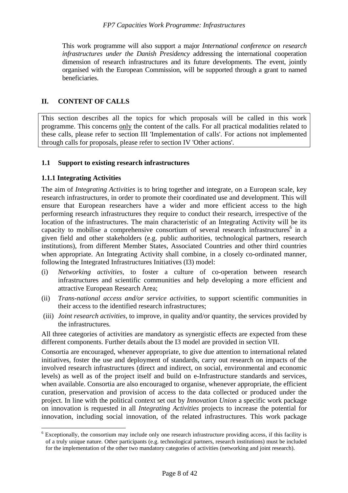This work programme will also support a major *International conference on research infrastructures under the Danish Presidency* addressing the international cooperation dimension of research infrastructures and its future developments. The event, jointly organised with the European Commission, will be supported through a grant to named beneficiaries.

# <span id="page-7-0"></span>**II. CONTENT OF CALLS**

This section describes all the topics for which proposals will be called in this work programme. This concerns only the content of the calls. For all practical modalities related to these calls, please refer to section III 'Implementation of calls'. For actions not implemented through calls for proposals, please refer to section IV 'Other actions'.

# <span id="page-7-1"></span>**1.1 Support to existing research infrastructures**

# <span id="page-7-2"></span>**1.1.1 Integrating Activities**

 $\overline{a}$ 

The aim of *Integrating Activities* is to bring together and integrate, on a European scale, key research infrastructures, in order to promote their coordinated use and development. This will ensure that European researchers have a wider and more efficient access to the high performing research infrastructures they require to conduct their research, irrespective of the location of the infrastructures. The main characteristic of an Integrating Activity will be its capacity to mobilise a comprehensive consortium of several research infrastructures<sup>6</sup> in a given field and other stakeholders (e.g. public authorities, technological partners, research institutions), from different Member States, Associated Countries and other third countries when appropriate. An Integrating Activity shall combine, in a closely co-ordinated manner, following the Integrated Infrastructures Initiatives (I3) model:

- (i) *Networking activities,* to foster a culture of co-operation between research infrastructures and scientific communities and help developing a more efficient and attractive European Research Area;
- (ii) *Trans-national access and/or service activities,* to support scientific communities in their access to the identified research infrastructures;
- (iii) *Joint research activities*, to improve, in quality and/or quantity, the services provided by the infrastructures.

All three categories of activities are mandatory as synergistic effects are expected from these different components. Further details about the I3 model are provided in section VII.

Consortia are encouraged, whenever appropriate, to give due attention to international related initiatives, foster the use and deployment of standards, carry out research on impacts of the involved research infrastructures (direct and indirect, on social, environmental and economic levels) as well as of the project itself and build on e-Infrastructure standards and services, when available. Consortia are also encouraged to organise, whenever appropriate, the efficient curation, preservation and provision of access to the data collected or produced under the project. In line with the political context set out by *Innovation Union* a specific work package on innovation is requested in all *Integrating Activities* projects to increase the potential for innovation, including social innovation, of the related infrastructures. This work package

<sup>&</sup>lt;sup>6</sup> Exceptionally, the consortium may include only one research infrastructure providing access, if this facility is of a truly unique nature. Other participants (e.g. technological partners, research institutions) must be included for the implementation of the other two mandatory categories of activities (networking and joint research).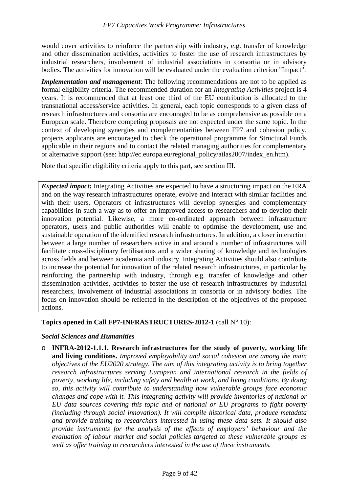would cover activities to reinforce the partnership with industry, e.g. transfer of knowledge and other dissemination activities, activities to foster the use of research infrastructures by industrial researchers, involvement of industrial associations in consortia or in advisory bodies. The activities for innovation will be evaluated under the evaluation criterion "Impact".

*Implementation and management*: The following recommendations are not to be applied as formal eligibility criteria. The recommended duration for an *Integrating Activities* project is 4 years. It is recommended that at least one third of the EU contribution is allocated to the transnational access/service activities. In general, each topic corresponds to a given class of research infrastructures and consortia are encouraged to be as comprehensive as possible on a European scale. Therefore competing proposals are not expected under the same topic. In the context of developing synergies and complementarities between FP7 and cohesion policy, projects applicants are encouraged to check the operational programme for Structural Funds applicable in their regions and to contact the related managing authorities for complementary or alternative support (see: http://ec.europa.eu/regional\_policy/atlas2007/index\_en.htm).

Note that specific eligibility criteria apply to this part, see section III.

*Expected impact***:** Integrating Activities are expected to have a structuring impact on the ERA and on the way research infrastructures operate, evolve and interact with similar facilities and with their users. Operators of infrastructures will develop synergies and complementary capabilities in such a way as to offer an improved access to researchers and to develop their innovation potential. Likewise, a more co-ordinated approach between infrastructure operators, users and public authorities will enable to optimise the development, use and sustainable operation of the identified research infrastructures. In addition, a closer interaction between a large number of researchers active in and around a number of infrastructures will facilitate cross-disciplinary fertilisations and a wider sharing of knowledge and technologies across fields and between academia and industry. Integrating Activities should also contribute to increase the potential for innovation of the related research infrastructures, in particular by reinforcing the partnership with industry, through e.g. transfer of knowledge and other dissemination activities, activities to foster the use of research infrastructures by industrial researchers, involvement of industrial associations in consortia or in advisory bodies. The focus on innovation should be reflected in the description of the objectives of the proposed actions.

**Topics opened in Call FP7-INFRASTRUCTURES-2012-1** (call N° 10):

# *Social Sciences and Humanities*

o **INFRA-2012-1.1.1. Research infrastructures for the study of poverty, working life and living conditions.** *Improved employability and social cohesion are among the main objectives of the EU2020 strategy. The aim of this integrating activity is to bring together research infrastructures serving European and international research in the fields of poverty, working life, including safety and health at work, and living conditions. By doing so, this activity will contribute to understanding how vulnerable groups face economic changes and cope with it. This integrating activity will provide inventories of national or EU data sources covering this topic and of national or EU programs to fight poverty (including through social innovation). It will compile historical data, produce metadata and provide training to researchers interested in using these data sets. It should also provide instruments for the analysis of the effects of employers' behaviour and the evaluation of labour market and social policies targeted to these vulnerable groups as well as offer training to researchers interested in the use of these instruments.*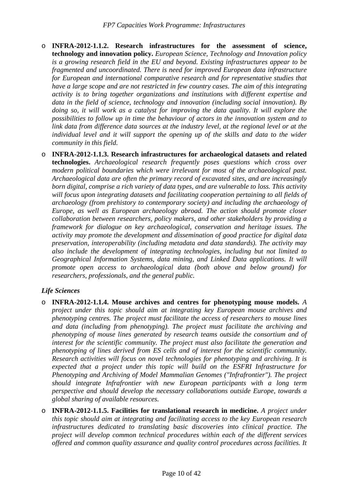- o **INFRA-2012-1.1.2. Research infrastructures for the assessment of science, technology and innovation policy.** *European Science, Technology and Innovation policy is a growing research field in the EU and beyond. Existing infrastructures appear to be fragmented and uncoordinated. There is need for improved European data infrastructure for European and international comparative research and for representative studies that have a large scope and are not restricted in few country cases. The aim of this integrating activity is to bring together organizations and institutions with different expertise and data in the field of science, technology and innovation (including social innovation). By doing so, it will work as a catalyst for improving the data quality. It will explore the possibilities to follow up in time the behaviour of actors in the innovation system and to link data from difference data sources at the industry level, at the regional level or at the individual level and it will support the opening up of the skills and data to the wider community in this field.*
- o **INFRA-2012-1.1.3. Research infrastructures for archaeological datasets and related technologies.** *Archaeological research frequently poses questions which cross over modern political boundaries which were irrelevant for most of the archaeological past. Archaeological data are often the primary record of excavated sites, and are increasingly born digital, comprise a rich variety of data types, and are vulnerable to loss. This activity will focus upon integrating datasets and facilitating cooperation pertaining to all fields of archaeology (from prehistory to contemporary society) and including the archaeology of Europe, as well as European archaeology abroad. The action should promote closer collaboration between researchers, policy makers, and other stakeholders by providing a framework for dialogue on key archaeological, conservation and heritage issues. The activity may promote the development and dissemination of good practice for digital data preservation, interoperability (including metadata and data standards). The activity may also include the development of integrating technologies, including but not limited to Geographical Information Systems, data mining, and Linked Data applications. It will promote open access to archaeological data (both above and below ground) for researchers, professionals, and the general public.*

# *Life Sciences*

- o **INFRA-2012-1.1.4. Mouse archives and centres for phenotyping mouse models.** *A project under this topic should aim at integrating key European mouse archives and phenotyping centres. The project must facilitate the access of researchers to mouse lines and data (including from phenotyping). The project must facilitate the archiving and phenotyping of mouse lines generated by research teams outside the consortium and of interest for the scientific community. The project must also facilitate the generation and phenotyping of lines derived from ES cells and of interest for the scientific community. Research activities will focus on novel technologies for phenotyping and archiving. It is expected that a project under this topic will build on the ESFRI Infrastructure for Phenotyping and Archiving of Model Mammalian Genomes ("Infrafrontier"). The project should integrate Infrafrontier with new European participants with a long term perspective and should develop the necessary collaborations outside Europe, towards a global sharing of available resources.*
- o **INFRA-2012-1.1.5. Facilities for translational research in medicine.** *A project under this topic should aim at integrating and facilitating access to the key European research infrastructures dedicated to translating basic discoveries into clinical practice. The project will develop common technical procedures within each of the different services offered and common quality assurance and quality control procedures across facilities. It*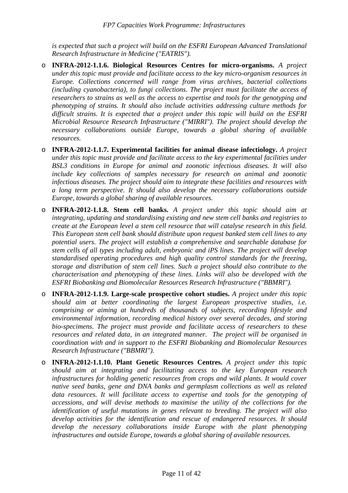*is expected that such a project will build on the ESFRI European Advanced Translational Research Infrastructure in Medicine ("EATRIS").*

- o **INFRA-2012-1.1.6. Biological Resources Centres for micro-organisms.** *A project under this topic must provide and facilitate access to the key micro-organism resources in Europe. Collections concerned will range from virus archives, bacterial collections (including cyanobacteria), to fungi collections. The project must facilitate the access of researchers to strains as well as the access to expertise and tools for the genotyping and phenotyping of strains. It should also include activities addressing culture methods for difficult strains. It is expected that a project under this topic will build on the ESFRI Microbial Resource Research Infrastructure ("MIRRI"). The project should develop the necessary collaborations outside Europe, towards a global sharing of available resources.*
- o **INFRA-2012-1.1.7. Experimental facilities for animal disease infectiology.** *A project under this topic must provide and facilitate access to the key experimental facilities under BSL3 conditions in Europe for animal and zoonotic infectious diseases. It will also include key collections of samples necessary for research on animal and zoonotic infectious diseases. The project should aim to integrate these facilities and resources with a long term perspective. It should also develop the necessary collaborations outside Europe, towards a global sharing of available resources.*
- o **INFRA-2012-1.1.8. Stem cell banks.** *A project under this topic should aim at integrating, updating and standardising existing and new stem cell banks and registries to create at the European level a stem cell resource that will catalyse research in this field. This European stem cell bank should distribute upon request banked stem cell lines to any potential users. The project will establish a comprehensive and searchable database for stem cells of all types including adult, embryonic and iPS lines. The project will develop standardised operating procedures and high quality control standards for the freezing, storage and distribution of stem cell lines. Such a project should also contribute to the characterisation and phenotyping of these lines. Links will also be developed with the ESFRI Biobanking and Biomolecular Resources Research Infrastructure ("BBMRI").*
- o **INFRA-2012-1.1.9. Large-scale prospective cohort studies.** *A project under this topic should aim at better coordinating the largest European prospective studies, i.e. comprising or aiming at hundreds of thousands of subjects, recording lifestyle and environmental information, recording medical history over several decades, and storing bio-specimens. The project must provide and facilitate access of researchers to these resources and related data, in an integrated manner. The project will be organised in coordination with and in support to the ESFRI Biobanking and Biomolecular Resources Research Infrastructure ("BBMRI").*
- o **INFRA-2012-1.1.10. Plant Genetic Resources Centres.** *A project under this topic should aim at integrating and facilitating access to the key European research infrastructures for holding genetic resources from crops and wild plants. It would cover native seed banks, gene and DNA banks and germplasm collections as well as related data resources. It will facilitate access to expertise and tools for the genotyping of accessions, and will devise methods to maximise the utility of the collections for the identification of useful mutations in genes relevant to breeding. The project will also develop activities for the identification and rescue of endangered resources. It should develop the necessary collaborations inside Europe with the plant phenotyping infrastructures and outside Europe, towards a global sharing of available resources.*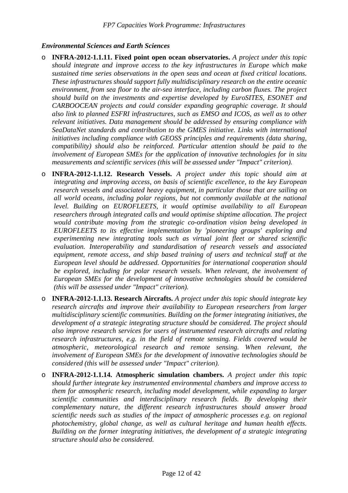# *Environmental Sciences and Earth Sciences*

- o **INFRA-2012-1.1.11. Fixed point open ocean observatories.** *A project under this topic should integrate and improve access to the key infrastructures in Europe which make sustained time series observations in the open seas and ocean at fixed critical locations. These infrastructures should support fully multidisciplinary research on the entire oceanic environment, from sea floor to the air-sea interface, including carbon fluxes. The project should build on the investments and expertise developed by EuroSITES, ESONET and CARBOOCEAN projects and could consider expanding geographic coverage. It should also link to planned ESFRI infrastructures, such as EMSO and ICOS, as well as to other relevant initiatives. Data management should be addressed by ensuring compliance with SeaDataNet standards and contribution to the GMES initiative. Links with international initiatives including compliance with GEOSS principles and requirements (data sharing, compatibility) should also be reinforced. Particular attention should be paid to the involvement of European SMEs for the application of innovative technologies for in situ measurements and scientific services (this will be assessed under "Impact" criterion).*
- o **INFRA-2012-1.1.12. Research Vessels.** *A project under this topic should aim at integrating and improving access, on basis of scientific excellence, to the key European research vessels and associated heavy equipment, in particular those that are sailing on all world oceans, including polar regions, but not commonly available at the national level. Building on EUROFLEETS, it would optimise availability to all European researchers through integrated calls and would optimise shiptime allocation. The project would contribute moving from the strategic co-ordination vision being developed in EUROFLEETS to its effective implementation by 'pioneering groups' exploring and experimenting new integrating tools such as virtual joint fleet or shared scientific evaluation. Interoperability and standardisation of research vessels and associated equipment, remote access, and ship based training of users and technical staff at the European level should be addressed. Opportunities for international cooperation should be explored, including for polar research vessels. When relevant, the involvement of European SMEs for the development of innovative technologies should be considered (this will be assessed under "Impact" criterion).*
- o **INFRA-2012-1.1.13. Research Aircrafts.** *A project under this topic should integrate key research aircrafts and improve their availability to European researchers from larger multidisciplinary scientific communities. Building on the former integrating initiatives, the development of a strategic integrating structure should be considered. The project should also improve research services for users of instrumented research aircrafts and relating research infrastructures, e.g. in the field of remote sensing. Fields covered would be atmospheric, meteorological research and remote sensing. When relevant, the involvement of European SMEs for the development of innovative technologies should be considered (this will be assessed under "Impact" criterion).*
- o **INFRA-2012-1.1.14. Atmospheric simulation chambers.** *A project under this topic should further integrate key instrumented environmental chambers and improve access to them for atmospheric research, including model development, while expanding to larger scientific communities and interdisciplinary research fields. By developing their complementary nature, the different research infrastructures should answer broad scientific needs such as studies of the impact of atmospheric processes e.g. on regional photochemistry, global change, as well as cultural heritage and human health effects. Building on the former integrating initiatives, the development of a strategic integrating structure should also be considered.*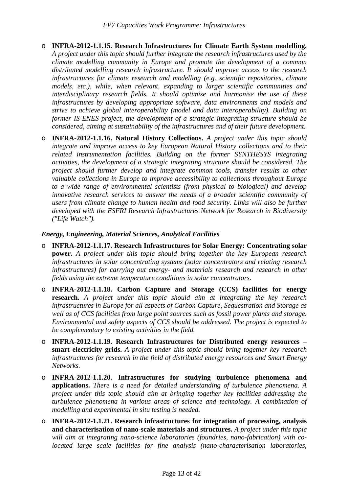- o **INFRA-2012-1.1.15. Research Infrastructures for Climate Earth System modelling.** *A project under this topic should further integrate the research infrastructures used by the climate modelling community in Europe and promote the development of a common distributed modelling research infrastructure. It should improve access to the research infrastructures for climate research and modelling (e.g. scientific repositories, climate models, etc.), while, when relevant, expanding to larger scientific communities and interdisciplinary research fields. It should optimise and harmonise the use of these infrastructures by developing appropriate software, data environments and models and strive to achieve global interoperability (model and data interoperability). Building on former IS-ENES project, the development of a strategic integrating structure should be considered, aiming at sustainability of the infrastructures and of their future development.*
- o **INFRA-2012-1.1.16. Natural History Collections.** *A project under this topic should integrate and improve access to key European Natural History collections and to their related instrumentation facilities. Building on the former SYNTHESYS integrating activities, the development of a strategic integrating structure should be considered. The project should further develop and integrate common tools, transfer results to other valuable collections in Europe to improve accessibility to collections throughout Europe to a wide range of environmental scientists (from physical to biological) and develop innovative research services to answer the needs of a broader scientific community of users from climate change to human health and food security. Links will also be further developed with the ESFRI Research Infrastructures Network for Research in Biodiversity ("Life Watch").*

# *Energy, Engineering, Material Sciences, Analytical Facilities*

- o **INFRA-2012-1.1.17. Research Infrastructures for Solar Energy: Concentrating solar power.** *A project under this topic should bring together the key European research infrastructures in solar concentrating systems (solar concentrators and relating research infrastructures) for carrying out energy- and materials research and research in other fields using the extreme temperature conditions in solar concentrators.*
- o **INFRA-2012-1.1.18. Carbon Capture and Storage (CCS) facilities for energy research.** *A project under this topic should aim at integrating the key research infrastructures in Europe for all aspects of Carbon Capture, Sequestration and Storage as well as of CCS facilities from large point sources such as fossil power plants and storage. Environmental and safety aspects of CCS should be addressed. The project is expected to be complementary to existing activities in the field.*
- o **INFRA-2012-1.1.19. Research Infrastructures for Distributed energy resources smart electricity grids.** *A project under this topic should bring together key research infrastructures for research in the field of distributed energy resources and Smart Energy Networks.*
- o **INFRA-2012-1.1.20. Infrastructures for studying turbulence phenomena and applications.** *There is a need for detailed understanding of turbulence phenomena. A project under this topic should aim at bringing together key facilities addressing the turbulence phenomena in various areas of science and technology. A combination of modelling and experimental in situ testing is needed.*
- o **INFRA-2012-1.1.21. Research infrastructures for integration of processing, analysis and characterisation of nano-scale materials and structures.** *A project under this topic will aim at integrating nano-science laboratories (foundries, nano-fabrication) with colocated large scale facilities for fine analysis (nano-characterisation laboratories,*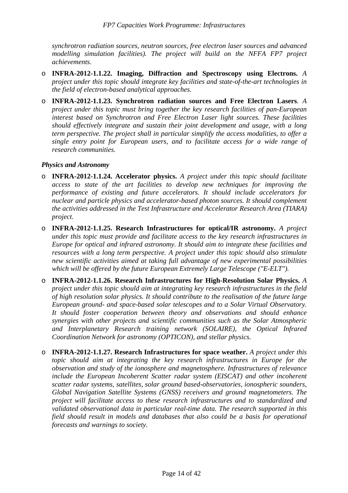*synchrotron radiation sources, neutron sources, free electron laser sources and advanced modelling simulation facilities). The project will build on the NFFA FP7 project achievements.*

- o **INFRA-2012-1.1.22. Imaging, Diffraction and Spectroscopy using Electrons.** *A project under this topic should integrate key facilities and state-of-the-art technologies in the field of electron-based analytical approaches.*
- o **INFRA-2012-1.1.23. Synchrotron radiation sources and Free Electron Lasers***. A project under this topic must bring together the key research facilities of pan-European interest based on Synchrotron and Free Electron Laser light sources. These facilities should effectively integrate and sustain their joint development and usage, with a long term perspective. The project shall in particular simplify the access modalities, to offer a single entry point for European users, and to facilitate access for a wide range of research communities.*

# *Physics and Astronomy*

- o **INFRA-2012-1.1.24. Accelerator physics.** *A project under this topic should facilitate access to state of the art facilities to develop new techniques for improving the performance of existing and future accelerators. It should include accelerators for nuclear and particle physics and accelerator-based photon sources. It should complement the activities addressed in the Test Infrastructure and Accelerator Research Area (TIARA) project.*
- o **INFRA-2012-1.1.25. Research Infrastructures for optical/IR astronomy.** *A project under this topic must provide and facilitate access to the key research infrastructures in Europe for optical and infrared astronomy. It should aim to integrate these facilities and resources with a long term perspective. A project under this topic should also stimulate new scientific activities aimed at taking full advantage of new experimental possibilities which will be offered by the future European Extremely Large Telescope ("E-ELT").*
- o **INFRA-2012-1.1.26. Research Infrastructures for High-Resolution Solar Physics.** *A project under this topic should aim at integrating key research infrastructures in the field of high resolution solar physics. It should contribute to the realisation of the future large European ground- and space-based solar telescopes and to a Solar Virtual Observatory. It should foster cooperation between theory and observations and should enhance synergies with other projects and scientific communities such as the Solar Atmospheric and Interplanetary Research training network (SOLAIRE), the Optical Infrared Coordination Network for astronomy (OPTICON), and stellar physics.*
- o **INFRA-2012-1.1.27. Research Infrastructures for space weather.** *A project under this topic should aim at integrating the key research infrastructures in Europe for the observation and study of the ionosphere and magnetosphere. Infrastructures of relevance include the European Incoherent Scatter radar system (EISCAT) and other incoherent scatter radar systems, satellites, solar ground based-observatories, ionospheric sounders, Global Navigation Satellite Systems (GNSS) receivers and ground magnetometers. The project will facilitate access to these research infrastructures and to standardized and validated observational data in particular real-time data. The research supported in this field should result in models and databases that also could be a basis for operational forecasts and warnings to society.*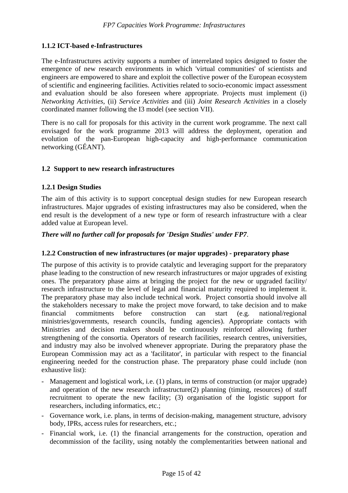# <span id="page-14-0"></span>**1.1.2 ICT-based e-Infrastructures**

The e-Infrastructures activity supports a number of interrelated topics designed to foster the emergence of new research environments in which 'virtual communities' of scientists and engineers are empowered to share and exploit the collective power of the European ecosystem of scientific and engineering facilities. Activities related to socio-economic impact assessment and evaluation should be also foreseen where appropriate. Projects must implement (i) *Networking Activities*, (ii) *Service Activities* and (iii) *Joint Research Activities* in a closely coordinated manner following the I3 model (see section VII).

There is no call for proposals for this activity in the current work programme. The next call envisaged for the work programme 2013 will address the deployment, operation and evolution of the pan-European high-capacity and high-performance communication networking (GÉANT).

#### <span id="page-14-1"></span>**1.2 Support to new research infrastructures**

#### <span id="page-14-2"></span>**1.2.1 Design Studies**

The aim of this activity is to support conceptual design studies for new European research infrastructures. Major upgrades of existing infrastructures may also be considered, when the end result is the development of a new type or form of research infrastructure with a clear added value at European level.

# *There will no further call for proposals for 'Design Studies' under FP7*.

#### <span id="page-14-3"></span>**1.2.2 Construction of new infrastructures (or major upgrades) - preparatory phase**

The purpose of this activity is to provide catalytic and leveraging support for the preparatory phase leading to the construction of new research infrastructures or major upgrades of existing ones. The preparatory phase aims at bringing the project for the new or upgraded facility/ research infrastructure to the level of legal and financial maturity required to implement it. The preparatory phase may also include technical work. Project consortia should involve all the stakeholders necessary to make the project move forward, to take decision and to make financial commitments before construction can start (e.g. national/regional ministries/governments, research councils, funding agencies). Appropriate contacts with Ministries and decision makers should be continuously reinforced allowing further strengthening of the consortia. Operators of research facilities, research centres, universities, and industry may also be involved whenever appropriate. During the preparatory phase the European Commission may act as a 'facilitator', in particular with respect to the financial engineering needed for the construction phase. The preparatory phase could include (non exhaustive list):

- Management and logistical work, i.e. (1) plans, in terms of construction (or major upgrade) and operation of the new research infrastructure(2) planning (timing, resources) of staff recruitment to operate the new facility; (3) organisation of the logistic support for researchers, including informatics, etc.;
- Governance work, i.e. plans, in terms of decision-making, management structure, advisory body, IPRs, access rules for researchers, etc.;
- Financial work, i.e. (1) the financial arrangements for the construction, operation and decommission of the facility, using notably the complementarities between national and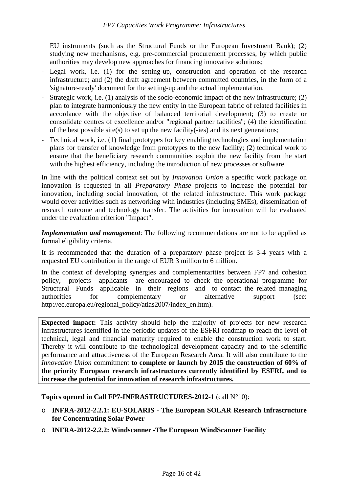EU instruments (such as the Structural Funds or the European Investment Bank); (2) studying new mechanisms, e.g. pre-commercial procurement processes, by which public authorities may develop new approaches for financing innovative solutions;

- Legal work, i.e. (1) for the setting-up, construction and operation of the research infrastructure; and (2) the draft agreement between committed countries, in the form of a 'signature-ready' document for the setting-up and the actual implementation.
- Strategic work, i.e. (1) analysis of the socio-economic impact of the new infrastructure; (2) plan to integrate harmoniously the new entity in the European fabric of related facilities in accordance with the objective of balanced territorial development; (3) to create or consolidate centres of excellence and/or "regional partner facilities"; (4) the identification of the best possible site(s) to set up the new facility(-ies) and its next generations;
- Technical work, i.e. (1) final prototypes for key enabling technologies and implementation plans for transfer of knowledge from prototypes to the new facility; (2) technical work to ensure that the beneficiary research communities exploit the new facility from the start with the highest efficiency, including the introduction of new processes or software.

In line with the political context set out by *Innovation Union* a specific work package on innovation is requested in all *Preparatory Phase* projects to increase the potential for innovation, including social innovation, of the related infrastructure. This work package would cover activities such as networking with industries (including SMEs), dissemination of research outcome and technology transfer. The activities for innovation will be evaluated under the evaluation criterion "Impact".

*Implementation and management*: The following recommendations are not to be applied as formal eligibility criteria.

It is recommended that the duration of a preparatory phase project is 3-4 years with a requested EU contribution in the range of EUR 3 million to 6 million.

In the context of developing synergies and complementarities between FP7 and cohesion policy, projects applicants are encouraged to check the operational programme for Structural Funds applicable in their regions and to contact the related managing authorities for complementary or alternative support (see: http://ec.europa.eu/regional\_policy/atlas2007/index\_en.htm).

**Expected impact:** This activity should help the majority of projects for new research infrastructures identified in the periodic updates of the ESFRI roadmap to reach the level of technical, legal and financial maturity required to enable the construction work to start. Thereby it will contribute to the technological development capacity and to the scientific performance and attractiveness of the European Research Area. It will also contribute to the *Innovation Union* commitment **to complete or launch by 2015 the construction of 60% of the priority European research infrastructures currently identified by ESFRI, and to increase the potential for innovation of research infrastructures.**

**Topics opened in Call FP7-INFRASTRUCTURES-2012-1** (call N°10):

- o **INFRA-2012-2.2.1: EU-SOLARIS The European SOLAR Research Infrastructure for Concentrating Solar Power**
- o **INFRA-2012-2.2.2: Windscanner -The European WindScanner Facility**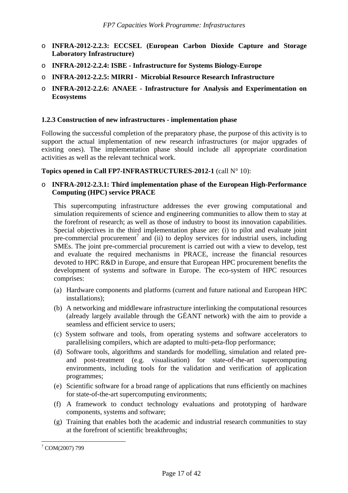- o **INFRA-2012-2.2.3: ECCSEL (European Carbon Dioxide Capture and Storage Laboratory Infrastructure)**
- o **INFRA-2012-2.2.4: ISBE Infrastructure for Systems Biology-Europe**
- o **INFRA-2012-2.2.5: MIRRI Microbial Resource Research Infrastructure**
- o **INFRA-2012-2.2.6: ANAEE Infrastructure for Analysis and Experimentation on Ecosystems**

# <span id="page-16-0"></span>**1.2.3 Construction of new infrastructures - implementation phase**

Following the successful completion of the preparatory phase, the purpose of this activity is to support the actual implementation of new research infrastructures (or major upgrades of existing ones). The implementation phase should include all appropriate coordination activities as well as the relevant technical work.

## **Topics opened in Call FP7-INFRASTRUCTURES-2012-1** (call N° 10):

# o **INFRA-2012-2.3.1: Third implementation phase of the European High-Performance Computing (HPC) service PRACE**

This supercomputing infrastructure addresses the ever growing computational and simulation requirements of science and engineering communities to allow them to stay at the forefront of research; as well as those of industry to boost its innovation capabilities. Special objectives in the third implementation phase are: (i) to pilot and evaluate joint pre-commercial procurement<sup>7</sup> and (ii) to deploy services for industrial users, including SMEs. The joint pre-commercial procurement is carried out with a view to develop, test and evaluate the required mechanisms in PRACE, increase the financial resources devoted to HPC R&D in Europe, and ensure that European HPC procurement benefits the development of systems and software in Europe. The eco-system of HPC resources comprises:

- (a) Hardware components and platforms (current and future national and European HPC installations);
- (b) A networking and middleware infrastructure interlinking the computational resources (already largely available through the GÉANT network) with the aim to provide a seamless and efficient service to users;
- (c) System software and tools, from operating systems and software accelerators to parallelising compilers, which are adapted to multi-peta-flop performance;
- (d) Software tools, algorithms and standards for modelling, simulation and related preand post-treatment (e.g. visualisation) for state-of-the-art supercomputing environments, including tools for the validation and verification of application programmes;
- (e) Scientific software for a broad range of applications that runs efficiently on machines for state-of-the-art supercomputing environments;
- (f) A framework to conduct technology evaluations and prototyping of hardware components, systems and software;
- (g) Training that enables both the academic and industrial research communities to stay at the forefront of scientific breakthroughs;

 $\overline{a}$ 7 COM(2007) 799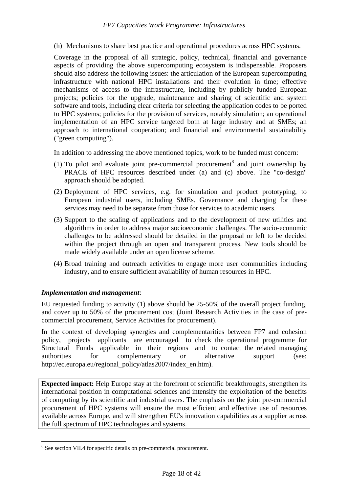(h) Mechanisms to share best practice and operational procedures across HPC systems.

Coverage in the proposal of all strategic, policy, technical, financial and governance aspects of providing the above supercomputing ecosystem is indispensable. Proposers should also address the following issues: the articulation of the European supercomputing infrastructure with national HPC installations and their evolution in time; effective mechanisms of access to the infrastructure, including by publicly funded European projects; policies for the upgrade, maintenance and sharing of scientific and system software and tools, including clear criteria for selecting the application codes to be ported to HPC systems; policies for the provision of services, notably simulation; an operational implementation of an HPC service targeted both at large industry and at SMEs; an approach to international cooperation; and financial and environmental sustainability ("green computing").

In addition to addressing the above mentioned topics, work to be funded must concern:

- (1) To pilot and evaluate joint pre-commercial procurement<sup>8</sup> and joint ownership by PRACE of HPC resources described under (a) and (c) above. The "co-design" approach should be adopted.
- (2) Deployment of HPC services, e.g. for simulation and product prototyping, to European industrial users, including SMEs. Governance and charging for these services may need to be separate from those for services to academic users.
- (3) Support to the scaling of applications and to the development of new utilities and algorithms in order to address major socioeconomic challenges. The socio-economic challenges to be addressed should be detailed in the proposal or left to be decided within the project through an open and transparent process. New tools should be made widely available under an open license scheme.
- (4) Broad training and outreach activities to engage more user communities including industry, and to ensure sufficient availability of human resources in HPC.

# *Implementation and management*:

 $\overline{a}$ 

EU requested funding to activity (1) above should be 25-50% of the overall project funding, and cover up to 50% of the procurement cost (Joint Research Activities in the case of precommercial procurement, Service Activities for procurement).

In the context of developing synergies and complementarities between FP7 and cohesion policy, projects applicants are encouraged to check the operational programme for Structural Funds applicable in their regions and to contact the related managing authorities for complementary or alternative support (see: http://ec.europa.eu/regional\_policy/atlas2007/index\_en.htm).

**Expected impact:** Help Europe stay at the forefront of scientific breakthroughs, strengthen its international position in computational sciences and intensify the exploitation of the benefits of computing by its scientific and industrial users. The emphasis on the joint pre-commercial procurement of HPC systems will ensure the most efficient and effective use of resources available across Europe, and will strengthen EU's innovation capabilities as a supplier across the full spectrum of HPC technologies and systems.

<sup>&</sup>lt;sup>8</sup> See section VII.4 for specific details on pre-commercial procurement.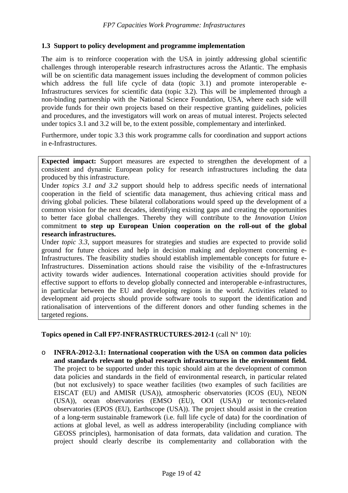## **1.3 Support to policy development and programme implementation**

The aim is to reinforce cooperation with the USA in jointly addressing global scientific challenges through interoperable research infrastructures across the Atlantic. The emphasis will be on scientific data management issues including the development of common policies which address the full life cycle of data (topic 3.1) and promote interoperable e-Infrastructures services for scientific data (topic 3.2). This will be implemented through a non-binding partnership with the National Science Foundation, USA, where each side will provide funds for their own projects based on their respective granting guidelines, policies and procedures, and the investigators will work on areas of mutual interest. Projects selected under topics 3.1 and 3.2 will be, to the extent possible, complementary and interlinked.

Furthermore, under topic 3.3 this work programme calls for coordination and support actions in e-Infrastructures.

**Expected impact:** Support measures are expected to strengthen the development of a consistent and dynamic European policy for research infrastructures including the data produced by this infrastructure.

Under *topics 3.1 and 3.2* support should help to address specific needs of international cooperation in the field of scientific data management, thus achieving critical mass and driving global policies. These bilateral collaborations would speed up the development of a common vision for the next decades, identifying existing gaps and creating the opportunities to better face global challenges. Thereby they will contribute to the *Innovation Union* commitment **to step up European Union cooperation on the roll-out of the global research infrastructures.** 

Under *topic 3.3*, support measures for strategies and studies are expected to provide solid ground for future choices and help in decision making and deployment concerning e-Infrastructures. The feasibility studies should establish implementable concepts for future e-Infrastructures. Dissemination actions should raise the visibility of the e-Infrastructures activity towards wider audiences. International cooperation activities should provide for effective support to efforts to develop globally connected and interoperable e-infrastructures, in particular between the EU and developing regions in the world. Activities related to development aid projects should provide software tools to support the identification and rationalisation of interventions of the different donors and other funding schemes in the targeted regions.

**Topics opened in Call FP7-INFRASTRUCTURES-2012-1** (call N° 10):

<span id="page-18-0"></span>o **INFRA-2012-3.1: International cooperation with the USA on common data policies and standards relevant to global research infrastructures in the environment field.**  The project to be supported under this topic should aim at the development of common data policies and standards in the field of environmental research, in particular related (but not exclusively) to space weather facilities (two examples of such facilities are EISCAT (EU) and AMISR (USA)), atmospheric observatories (ICOS (EU), NEON (USA)), ocean observatories (EMSO (EU), OOI (USA)) or tectonics-related observatories (EPOS (EU), Earthscope (USA)). The project should assist in the creation of a long-term sustainable framework (i.e. full life cycle of data) for the coordination of actions at global level, as well as address interoperability (including compliance with GEOSS principles), harmonisation of data formats, data validation and curation. The project should clearly describe its complementarity and collaboration with the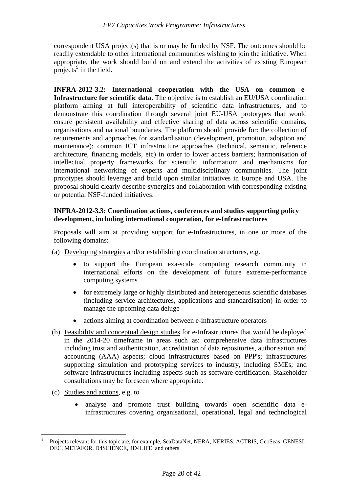correspondent USA project(s) that is or may be funded by NSF. The outcomes should be readily extendable to other international communities wishing to join the initiative. When appropriate, the work should build on and extend the activities of existing European projects<sup>9</sup> in the field.

**INFRA-2012-3.2: International cooperation with the USA on common e-Infrastructure for scientific data.** The objective is to establish an EU/USA coordination platform aiming at full interoperability of scientific data infrastructures, and to demonstrate this coordination through several joint EU-USA prototypes that would ensure persistent availability and effective sharing of data across scientific domains, organisations and national boundaries. The platform should provide for: the collection of requirements and approaches for standardisation (development, promotion, adoption and maintenance); common ICT infrastructure approaches (technical, semantic, reference architecture, financing models, etc) in order to lower access barriers; harmonisation of intellectual property frameworks for scientific information; and mechanisms for international networking of experts and multidisciplinary communities. The joint prototypes should leverage and build upon similar initiatives in Europe and USA. The proposal should clearly describe synergies and collaboration with corresponding existing or potential NSF-funded initiatives.

# **INFRA-2012-3.3: Coordination actions, conferences and studies supporting policy development, including international cooperation, for e-Infrastructures**

Proposals will aim at providing support for e-Infrastructures, in one or more of the following domains:

- (a) Developing strategies and/or establishing coordination structures, e.g.
	- to support the European exa-scale computing research community in international efforts on the development of future extreme-performance computing systems
	- for extremely large or highly distributed and heterogeneous scientific databases (including service architectures, applications and standardisation) in order to manage the upcoming data deluge
	- actions aiming at coordination between e-infrastructure operators
- (b) Feasibility and conceptual design studies for e-Infrastructures that would be deployed in the 2014-20 timeframe in areas such as: comprehensive data infrastructures including trust and authentication, accreditation of data repositories, authorisation and accounting (AAA) aspects; cloud infrastructures based on PPP's; infrastructures supporting simulation and prototyping services to industry, including SMEs; and software infrastructures including aspects such as software certification. Stakeholder consultations may be foreseen where appropriate.
- (c) Studies and actions, e.g. to

 $\overline{a}$ 

• analyse and promote trust building towards open scientific data einfrastructures covering organisational, operational, legal and technological

<sup>9</sup> Projects relevant for this topic are, for example, SeaDataNet, NERA, NERIES, ACTRIS, GeoSeas, GENESI-DEC, METAFOR, D4SCIENCE, 4D4LIFE and others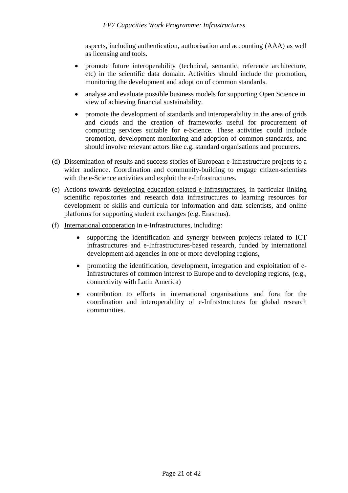aspects, including authentication, authorisation and accounting (AAA) as well as licensing and tools.

- promote future interoperability (technical, semantic, reference architecture, etc) in the scientific data domain. Activities should include the promotion, monitoring the development and adoption of common standards.
- analyse and evaluate possible business models for supporting Open Science in view of achieving financial sustainability.
- promote the development of standards and interoperability in the area of grids and clouds and the creation of frameworks useful for procurement of computing services suitable for e-Science. These activities could include promotion, development monitoring and adoption of common standards, and should involve relevant actors like e.g. standard organisations and procurers.
- (d) Dissemination of results and success stories of European e-Infrastructure projects to a wider audience. Coordination and community-building to engage citizen-scientists with the e-Science activities and exploit the e-Infrastructures.
- (e) Actions towards developing education-related e-Infrastructures, in particular linking scientific repositories and research data infrastructures to learning resources for development of skills and curricula for information and data scientists, and online platforms for supporting student exchanges (e.g. Erasmus).
- (f) International cooperation in e-Infrastructures, including:
	- supporting the identification and synergy between projects related to ICT infrastructures and e-Infrastructures-based research, funded by international development aid agencies in one or more developing regions,
	- promoting the identification, development, integration and exploitation of e-Infrastructures of common interest to Europe and to developing regions, (e.g., connectivity with Latin America)
	- contribution to efforts in international organisations and fora for the coordination and interoperability of e-Infrastructures for global research communities.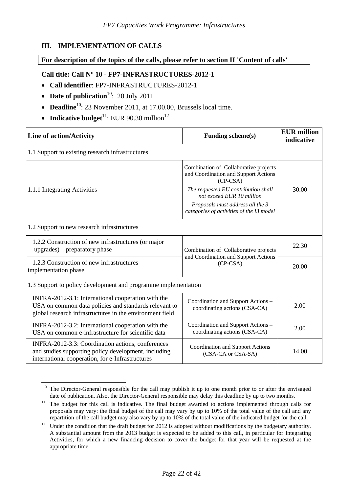# <span id="page-21-0"></span>**III. IMPLEMENTATION OF CALLS**

#### <span id="page-21-1"></span>**For description of the topics of the calls, please refer to section II 'Content of calls'**

## **Call title: Call N° 10 - FP7-INFRASTRUCTURES-2012-1**

- **Call identifier**: FP7-INFRASTRUCTURES-2012-1
- **Date of publication**<sup>10</sup>: 20 July 2011
- **Deadline**<sup>10</sup>: 23 November 2011, at 17.00.00, Brussels local time.
- **Indicative budget**<sup>11</sup>: EUR 90.30 million<sup>12</sup>

| <b>Line of action/Activity</b>                                                                                                                                          | <b>Funding scheme(s)</b>                                                                                                                                                                                                                        | <b>EUR</b> million<br>indicative |  |  |  |  |  |  |
|-------------------------------------------------------------------------------------------------------------------------------------------------------------------------|-------------------------------------------------------------------------------------------------------------------------------------------------------------------------------------------------------------------------------------------------|----------------------------------|--|--|--|--|--|--|
| 1.1 Support to existing research infrastructures                                                                                                                        |                                                                                                                                                                                                                                                 |                                  |  |  |  |  |  |  |
| 1.1.1 Integrating Activities                                                                                                                                            | Combination of Collaborative projects<br>and Coordination and Support Actions<br>$(CP-CSA)$<br>The requested EU contribution shall<br>not exceed EUR 10 million<br>Proposals must address all the 3<br>categories of activities of the I3 model | 30.00                            |  |  |  |  |  |  |
| 1.2 Support to new research infrastructures                                                                                                                             |                                                                                                                                                                                                                                                 |                                  |  |  |  |  |  |  |
| 1.2.2 Construction of new infrastructures (or major<br>upgrades) – preparatory phase                                                                                    | Combination of Collaborative projects                                                                                                                                                                                                           | 22.30                            |  |  |  |  |  |  |
| 1.2.3 Construction of new infrastructures –<br>implementation phase                                                                                                     | and Coordination and Support Actions<br>$(CP-CSA)$                                                                                                                                                                                              | 20.00                            |  |  |  |  |  |  |
| 1.3 Support to policy development and programme implementation                                                                                                          |                                                                                                                                                                                                                                                 |                                  |  |  |  |  |  |  |
| INFRA-2012-3.1: International cooperation with the<br>USA on common data policies and standards relevant to<br>global research infrastructures in the environment field | Coordination and Support Actions -<br>coordinating actions (CSA-CA)                                                                                                                                                                             | 2.00                             |  |  |  |  |  |  |
| INFRA-2012-3.2: International cooperation with the<br>USA on common e-infrastructure for scientific data                                                                | Coordination and Support Actions -<br>coordinating actions (CSA-CA)                                                                                                                                                                             | 2.00                             |  |  |  |  |  |  |
| INFRA-2012-3.3: Coordination actions, conferences<br>and studies supporting policy development, including<br>international cooperation, for e-Infrastructures           | Coordination and Support Actions<br>(CSA-CA or CSA-SA)                                                                                                                                                                                          | 14.00                            |  |  |  |  |  |  |

 $\overline{a}$ <sup>10</sup> The Director-General responsible for the call may publish it up to one month prior to or after the envisaged date of publication. Also, the Director-General responsible may delay this deadline by up to two months.

<sup>&</sup>lt;sup>11</sup> The budget for this call is indicative. The final budget awarded to actions implemented through calls for proposals may vary: the final budget of the call may vary by up to 10% of the total value of the call and any repartition of the call budget may also vary by up to 10% of the total value of the indicated budget for the call.

<sup>&</sup>lt;sup>12</sup> Under the condition that the draft budget for 2012 is adopted without modifications by the budgetary authority. A substantial amount from the 2013 budget is expected to be added to this call, in particular for Integrating Activities, for which a new financing decision to cover the budget for that year will be requested at the appropriate time.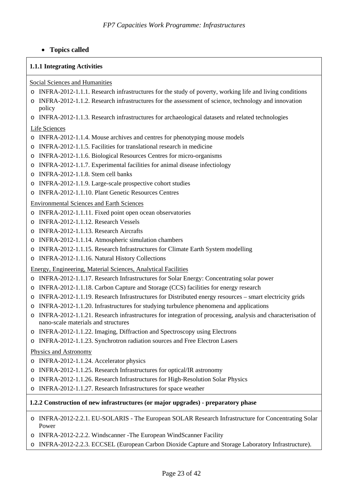# • **Topics called**

#### **1.1.1 Integrating Activities**

#### Social Sciences and Humanities

- o INFRA-2012-1.1.1. Research infrastructures for the study of poverty, working life and living conditions
- o INFRA-2012-1.1.2. Research infrastructures for the assessment of science, technology and innovation policy
- o INFRA-2012-1.1.3. Research infrastructures for archaeological datasets and related technologies

#### Life Sciences

- o INFRA-2012-1.1.4. Mouse archives and centres for phenotyping mouse models
- o INFRA-2012-1.1.5. Facilities for translational research in medicine
- o INFRA-2012-1.1.6. Biological Resources Centres for micro-organisms
- o INFRA-2012-1.1.7. Experimental facilities for animal disease infectiology
- o INFRA-2012-1.1.8. Stem cell banks
- o INFRA-2012-1.1.9. Large-scale prospective cohort studies
- o INFRA-2012-1.1.10. Plant Genetic Resources Centres

#### Environmental Sciences and Earth Sciences

- o INFRA-2012-1.1.11. Fixed point open ocean observatories
- o INFRA-2012-1.1.12. Research Vessels
- o INFRA-2012-1.1.13. Research Aircrafts
- o INFRA-2012-1.1.14. Atmospheric simulation chambers
- o INFRA-2012-1.1.15. Research Infrastructures for Climate Earth System modelling
- o INFRA-2012-1.1.16. Natural History Collections

#### Energy, Engineering, Material Sciences, Analytical Facilities

- o INFRA-2012-1.1.17. Research Infrastructures for Solar Energy: Concentrating solar power
- o INFRA-2012-1.1.18. Carbon Capture and Storage (CCS) facilities for energy research
- o INFRA-2012-1.1.19. Research Infrastructures for Distributed energy resources smart electricity grids
- o INFRA-2012-1.1.20. Infrastructures for studying turbulence phenomena and applications
- o INFRA-2012-1.1.21. Research infrastructures for integration of processing, analysis and characterisation of nano-scale materials and structures
- o INFRA-2012-1.1.22. Imaging, Diffraction and Spectroscopy using Electrons
- o INFRA-2012-1.1.23. Synchrotron radiation sources and Free Electron Lasers

#### Physics and Astronomy

- o INFRA-2012-1.1.24. Accelerator physics
- o INFRA-2012-1.1.25. Research Infrastructures for optical/IR astronomy
- o INFRA-2012-1.1.26. Research Infrastructures for High-Resolution Solar Physics
- o INFRA-2012-1.1.27. Research Infrastructures for space weather

#### **1.2.2 Construction of new infrastructures (or major upgrades) - preparatory phase**

- o INFRA-2012-2.2.1. EU-SOLARIS The European SOLAR Research Infrastructure for Concentrating Solar Power
- o INFRA-2012-2.2.2. Windscanner -The European WindScanner Facility
- o INFRA-2012-2.2.3. ECCSEL (European Carbon Dioxide Capture and Storage Laboratory Infrastructure).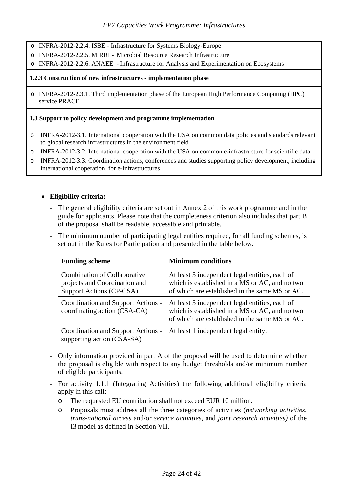- o INFRA-2012-2.2.4. ISBE Infrastructure for Systems Biology-Europe
- o INFRA-2012-2.2.5. MIRRI Microbial Resource Research Infrastructure
- o INFRA-2012-2.2.6. ANAEE Infrastructure for Analysis and Experimentation on Ecosystems

#### **1.2.3 Construction of new infrastructures - implementation phase**

o INFRA-2012-2.3.1. Third implementation phase of the European High Performance Computing (HPC) service PRACE

#### **1.3 Support to policy development and programme implementation**

- o INFRA-2012-3.1. International cooperation with the USA on common data policies and standards relevant to global research infrastructures in the environment field
- o INFRA-2012-3.2. International cooperation with the USA on common e-infrastructure for scientific data
- o INFRA-2012-3.3. Coordination actions, conferences and studies supporting policy development, including international cooperation, for e-Infrastructures

## • **Eligibility criteria:**

- The general eligibility criteria are set out in Annex 2 of this work programme and in the guide for applicants. Please note that the completeness criterion also includes that part B of the proposal shall be readable, accessible and printable.
- The minimum number of participating legal entities required, for all funding schemes, is set out in the Rules for Participation and presented in the table below.

| <b>Funding scheme</b>                                                                            | <b>Minimum conditions</b>                                                                                                                          |
|--------------------------------------------------------------------------------------------------|----------------------------------------------------------------------------------------------------------------------------------------------------|
| <b>Combination of Collaborative</b><br>projects and Coordination and<br>Support Actions (CP-CSA) | At least 3 independent legal entities, each of<br>which is established in a MS or AC, and no two<br>of which are established in the same MS or AC. |
| Coordination and Support Actions -<br>coordinating action (CSA-CA)                               | At least 3 independent legal entities, each of<br>which is established in a MS or AC, and no two<br>of which are established in the same MS or AC. |
| Coordination and Support Actions -<br>supporting action (CSA-SA)                                 | At least 1 independent legal entity.                                                                                                               |

- Only information provided in part A of the proposal will be used to determine whether the proposal is eligible with respect to any budget thresholds and/or minimum number of eligible participants.
- For activity 1.1.1 (Integrating Activities) the following additional eligibility criteria apply in this call:
	- o The requested EU contribution shall not exceed EUR 10 million.
	- o Proposals must address all the three categories of activities (*networking activities*, *trans-national access* and/or *service activities,* and *joint research activities)* of the I3 model as defined in Section VII.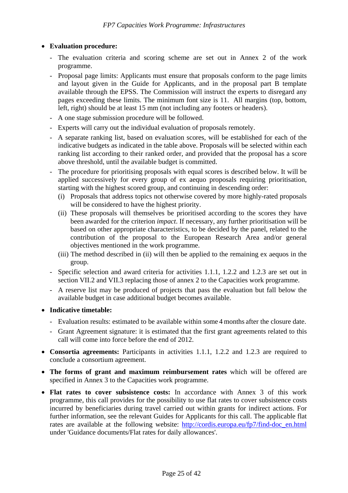# • **Evaluation procedure:**

- The evaluation criteria and scoring scheme are set out in Annex 2 of the work programme.
- Proposal page limits: Applicants must ensure that proposals conform to the page limits and layout given in the Guide for Applicants, and in the proposal part B template available through the EPSS. The Commission will instruct the experts to disregard any pages exceeding these limits. The minimum font size is 11. All margins (top, bottom, left, right) should be at least 15 mm (not including any footers or headers).
- A one stage submission procedure will be followed.
- Experts will carry out the individual evaluation of proposals remotely.
- A separate ranking list, based on evaluation scores, will be established for each of the indicative budgets as indicated in the table above. Proposals will be selected within each ranking list according to their ranked order, and provided that the proposal has a score above threshold, until the available budget is committed.
- The procedure for prioritising proposals with equal scores is described below. It will be applied successively for every group of ex aequo proposals requiring prioritisation, starting with the highest scored group, and continuing in descending order:
	- (i) Proposals that address topics not otherwise covered by more highly-rated proposals will be considered to have the highest priority.
	- (ii) These proposals will themselves be prioritised according to the scores they have been awarded for the criterion *impact*. If necessary, any further prioritisation will be based on other appropriate characteristics, to be decided by the panel, related to the contribution of the proposal to the European Research Area and/or general objectives mentioned in the work programme.
	- (iii) The method described in (ii) will then be applied to the remaining ex aequos in the group.
- Specific selection and award criteria for activities 1.1.1, 1.2.2 and 1.2.3 are set out in section VII.2 and VII.3 replacing those of annex 2 to the Capacities work programme.
- A reserve list may be produced of projects that pass the evaluation but fall below the available budget in case additional budget becomes available.
- **Indicative timetable:** 
	- Evaluation results: estimated to be available within some 4 months after the closure date.
	- Grant Agreement signature: it is estimated that the first grant agreements related to this call will come into force before the end of 2012.
- **Consortia agreements:** Participants in activities 1.1.1, 1.2.2 and 1.2.3 are required to conclude a consortium agreement.
- **The forms of grant and maximum reimbursement rates** which will be offered are specified in Annex 3 to the Capacities work programme.
- **Flat rates to cover subsistence costs:** In accordance with Annex 3 of this work programme, this call provides for the possibility to use flat rates to cover subsistence costs incurred by beneficiaries during travel carried out within grants for indirect actions. For further information, see the relevant Guides for Applicants for this call. The applicable flat rates are available at the following website: [http://cordis.europa.eu/fp7/find-doc\\_en.html](http://cordis.europa.eu/fp7/find-doc_en.html)  under 'Guidance documents/Flat rates for daily allowances'.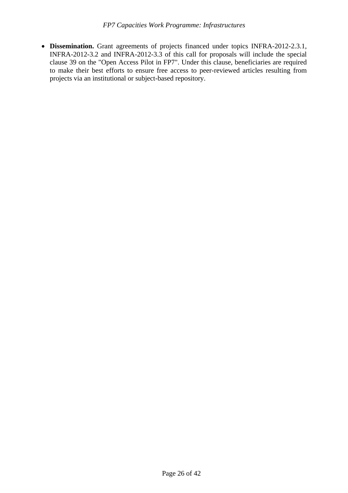• **Dissemination.** Grant agreements of projects financed under topics INFRA-2012-2.3.1, INFRA-2012-3.2 and INFRA-2012-3.3 of this call for proposals will include the special clause 39 on the "Open Access Pilot in FP7". Under this clause, beneficiaries are required to make their best efforts to ensure free access to peer-reviewed articles resulting from projects via an institutional or subject-based repository.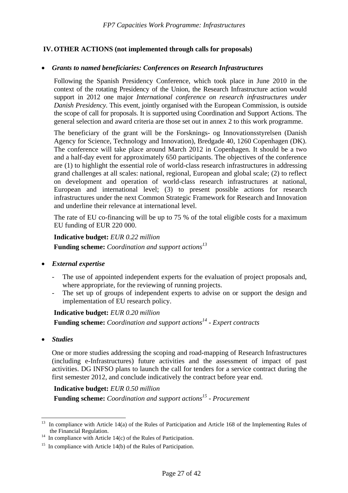# <span id="page-26-0"></span> **IV. OTHER ACTIONS (not implemented through calls for proposals)**

#### • *Grants to named beneficiaries: Conferences on Research Infrastructures*

Following the Spanish Presidency Conference, which took place in June 2010 in the context of the rotating Presidency of the Union, the Research Infrastructure action would support in 2012 one major *International conference on research infrastructures under Danish Presidency*. This event, jointly organised with the European Commission, is outside the scope of call for proposals. It is supported using Coordination and Support Actions. The general selection and award criteria are those set out in annex 2 to this work programme.

The beneficiary of the grant will be the Forsknings- og Innovationsstyrelsen (Danish Agency for Science, Technology and Innovation), Bredgade 40, 1260 Copenhagen (DK). The conference will take place around March 2012 in Copenhagen. It should be a two and a half-day event for approximately 650 participants. The objectives of the conference are (1) to highlight the essential role of world-class research infrastructures in addressing grand challenges at all scales: national, regional, European and global scale; (2) to reflect on development and operation of world-class research infrastructures at national, European and international level; (3) to present possible actions for research infrastructures under the next Common Strategic Framework for Research and Innovation and underline their relevance at international level.

The rate of EU co-financing will be up to 75 % of the total eligible costs for a maximum EU funding of EUR 220 000.

#### **Indicative budget:** *EUR 0.22 million*

**Funding scheme:** *Coordination and support actions13*

- *External expertise* 
	- The use of appointed independent experts for the evaluation of project proposals and, where appropriate, for the reviewing of running projects.
	- The set up of groups of independent experts to advise on or support the design and implementation of EU research policy.

## **Indicative budget:** *EUR 0.20 million*

**Funding scheme:** *Coordination and support actions*<sup>14</sup> - *Expert contracts* 

• *Studies* 

 $\overline{a}$ 

One or more studies addressing the scoping and road-mapping of Research Infrastructures (including e-Infrastructures) future activities and the assessment of impact of past activities. DG INFSO plans to launch the call for tenders for a service contract during the first semester 2012, and conclude indicatively the contract before year end.

#### **Indicative budget:** *EUR 0.50 million*

**Funding scheme:** *Coordination and support actions15 - Procurement* 

<sup>&</sup>lt;sup>13</sup> In compliance with Article 14(a) of the Rules of Participation and Article 168 of the Implementing Rules of the Financial Regulation.<br><sup>14</sup> In compliance with Article 14(c) of the Rules of Participation.

<sup>&</sup>lt;sup>15</sup> In compliance with Article 14(b) of the Rules of Participation.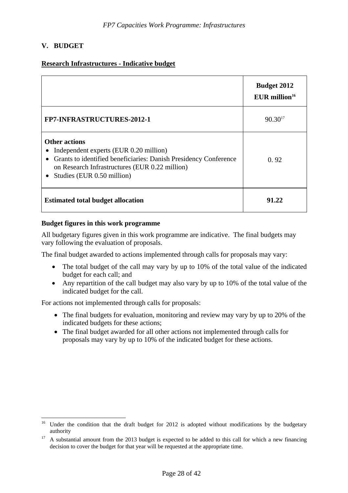# <span id="page-27-0"></span>**V. BUDGET**

 $\overline{a}$ 

## **Research Infrastructures - Indicative budget**

|                                                                                                                                                                                                                      | <b>Budget 2012</b><br>$EUR$ million <sup>16</sup> |
|----------------------------------------------------------------------------------------------------------------------------------------------------------------------------------------------------------------------|---------------------------------------------------|
| <b>FP7-INFRASTRUCTURES-2012-1</b>                                                                                                                                                                                    | $90.30^{17}$                                      |
| <b>Other actions</b><br>Independent experts (EUR 0.20 million)<br>• Grants to identified beneficiaries: Danish Presidency Conference<br>on Research Infrastructures (EUR 0.22 million)<br>Studies (EUR 0.50 million) | 0.92                                              |
| <b>Estimated total budget allocation</b>                                                                                                                                                                             | 91.22                                             |

#### **Budget figures in this work programme**

All budgetary figures given in this work programme are indicative. The final budgets may vary following the evaluation of proposals.

The final budget awarded to actions implemented through calls for proposals may vary:

- The total budget of the call may vary by up to 10% of the total value of the indicated budget for each call; and
- Any repartition of the call budget may also vary by up to 10% of the total value of the indicated budget for the call.

For actions not implemented through calls for proposals:

- The final budgets for evaluation, monitoring and review may vary by up to 20% of the indicated budgets for these actions;
- The final budget awarded for all other actions not implemented through calls for proposals may vary by up to 10% of the indicated budget for these actions.

<sup>&</sup>lt;sup>16</sup> Under the condition that the draft budget for 2012 is adopted without modifications by the budgetary authority<br><sup>17</sup> A substantial amount from the 2013 budget is expected to be added to this call for which a new financing

decision to cover the budget for that year will be requested at the appropriate time.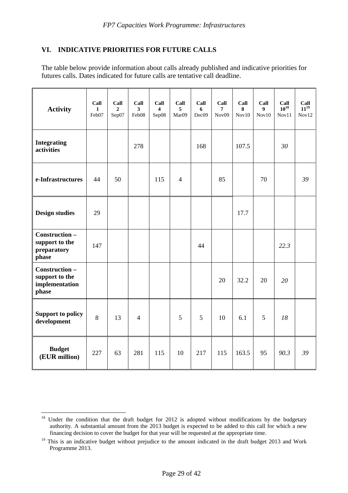# <span id="page-28-0"></span>**VI. INDICATIVE PRIORITIES FOR FUTURE CALLS**

The table below provide information about calls already published and indicative priorities for futures calls. Dates indicated for future calls are tentative call deadline.

| <b>Activity</b>                                            | Call<br>$\mathbf{1}$<br>Feb07 | Call<br>$\overline{2}$<br>Sep07 | Call<br>$\overline{\mathbf{3}}$<br>Feb08 | Call<br>4<br>Sep08 | Call<br>5<br>Mar09 | Call<br>6<br>Dec09 | Call<br>7<br>Nov <sub>09</sub> | Call<br>8<br>Nov10 | Call<br>$\boldsymbol{9}$<br>Nov10 | Call<br>$10^{18}$<br>Nov11 | Call<br>$11^{19}$<br>Nov12 |
|------------------------------------------------------------|-------------------------------|---------------------------------|------------------------------------------|--------------------|--------------------|--------------------|--------------------------------|--------------------|-----------------------------------|----------------------------|----------------------------|
| <b>Integrating</b><br>activities                           |                               |                                 | 278                                      |                    |                    | 168                |                                | 107.5              |                                   | 30                         |                            |
| e-Infrastructures                                          | 44                            | 50                              |                                          | 115                | $\overline{4}$     |                    | 85                             |                    | 70                                |                            | 39                         |
| <b>Design studies</b>                                      | 29                            |                                 |                                          |                    |                    |                    |                                | 17.7               |                                   |                            |                            |
| Construction-<br>support to the<br>preparatory<br>phase    | 147                           |                                 |                                          |                    |                    | 44                 |                                |                    |                                   | 22.3                       |                            |
| Construction-<br>support to the<br>implementation<br>phase |                               |                                 |                                          |                    |                    |                    | 20                             | 32.2               | 20                                | 20                         |                            |
| <b>Support to policy</b><br>development                    | 8                             | 13                              | $\overline{4}$                           |                    | 5                  | 5                  | 10                             | 6.1                | 5                                 | 18                         |                            |
| <b>Budget</b><br>(EUR million)                             | 227                           | 63                              | 281                                      | 115                | 10                 | 217                | 115                            | 163.5              | 95                                | 90.3                       | 39                         |

 $\overline{a}$  $18$  Under the condition that the draft budget for 2012 is adopted without modifications by the budgetary authority. A substantial amount from the 2013 budget is expected to be added to this call for which a new financing decision to cover the budget for that year will be requested at the appropriate time.

<sup>&</sup>lt;sup>19</sup> This is an indicative budget without prejudice to the amount indicated in the draft budget 2013 and Work Programme 2013.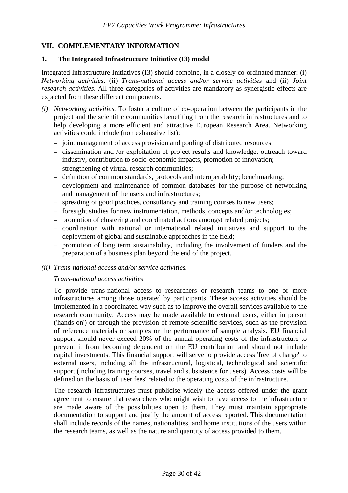# <span id="page-29-1"></span><span id="page-29-0"></span>**VII. COMPLEMENTARY INFORMATION**

#### **1. The Integrated Infrastructure Initiative (I3) model**

Integrated Infrastructure Initiatives (I3) should combine, in a closely co-ordinated manner: (i) *Networking activities,* (ii) *Trans-national access and/or service activities* and (ii) *Joint research activities*. All three categories of activities are mandatory as synergistic effects are expected from these different components.

- *(i) Networking activities.* To foster a culture of co-operation between the participants in the project and the scientific communities benefiting from the research infrastructures and to help developing a more efficient and attractive European Research Area. Networking activities could include (non exhaustive list):
	- − joint management of access provision and pooling of distributed resources;
	- − dissemination and /or exploitation of project results and knowledge, outreach toward industry, contribution to socio-economic impacts, promotion of innovation;
	- − strengthening of virtual research communities;
	- − definition of common standards, protocols and interoperability; benchmarking;
	- − development and maintenance of common databases for the purpose of networking and management of the users and infrastructures;
	- − spreading of good practices, consultancy and training courses to new users;
	- − foresight studies for new instrumentation, methods, concepts and/or technologies;
	- − promotion of clustering and coordinated actions amongst related projects;
	- − coordination with national or international related initiatives and support to the deployment of global and sustainable approaches in the field;
	- − promotion of long term sustainability, including the involvement of funders and the preparation of a business plan beyond the end of the project.
- *(ii) Trans-national access and/or service activities.*

#### *Trans-national access activities*

To provide trans-national access to researchers or research teams to one or more infrastructures among those operated by participants. These access activities should be implemented in a coordinated way such as to improve the overall services available to the research community. Access may be made available to external users, either in person ('hands-on') or through the provision of remote scientific services, such as the provision of reference materials or samples or the performance of sample analysis. EU financial support should never exceed 20% of the annual operating costs of the infrastructure to prevent it from becoming dependent on the EU contribution and should not include capital investments. This financial support will serve to provide access 'free of charge' to external users, including all the infrastructural, logistical, technological and scientific support (including training courses, travel and subsistence for users). Access costs will be defined on the basis of 'user fees' related to the operating costs of the infrastructure.

The research infrastructures must publicise widely the access offered under the grant agreement to ensure that researchers who might wish to have access to the infrastructure are made aware of the possibilities open to them. They must maintain appropriate documentation to support and justify the amount of access reported. This documentation shall include records of the names, nationalities, and home institutions of the users within the research teams, as well as the nature and quantity of access provided to them.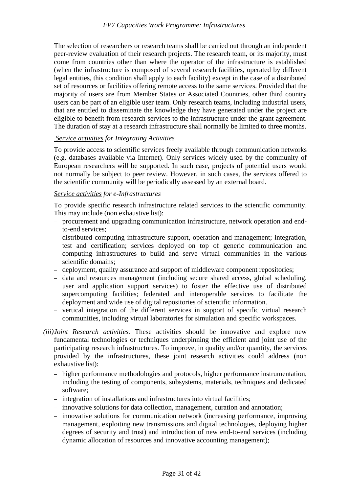The selection of researchers or research teams shall be carried out through an independent peer-review evaluation of their research projects. The research team, or its majority, must come from countries other than where the operator of the infrastructure is established (when the infrastructure is composed of several research facilities, operated by different legal entities, this condition shall apply to each facility) except in the case of a distributed set of resources or facilities offering remote access to the same services. Provided that the majority of users are from Member States or Associated Countries, other third country users can be part of an eligible user team. Only research teams, including industrial users, that are entitled to disseminate the knowledge they have generated under the project are eligible to benefit from research services to the infrastructure under the grant agreement. The duration of stay at a research infrastructure shall normally be limited to three months.

## *Service activities for Integrating Activities*

To provide access to scientific services freely available through communication networks (e.g. databases available via Internet). Only services widely used by the community of European researchers will be supported. In such case, projects of potential users would not normally be subject to peer review. However, in such cases, the services offered to the scientific community will be periodically assessed by an external board.

## *Service activities for e-Infrastructures*

To provide specific research infrastructure related services to the scientific community. This may include (non exhaustive list):

- − procurement and upgrading communication infrastructure, network operation and endto-end services;
- − distributed computing infrastructure support, operation and management; integration, test and certification; services deployed on top of generic communication and computing infrastructures to build and serve virtual communities in the various scientific domains;
- − deployment, quality assurance and support of middleware component repositories;
- − data and resources management (including secure shared access, global scheduling, user and application support services) to foster the effective use of distributed supercomputing facilities; federated and interoperable services to facilitate the deployment and wide use of digital repositories of scientific information.
- − vertical integration of the different services in support of specific virtual research communities, including virtual laboratories for simulation and specific workspaces.
- *(iii) Joint Research activities.* These activities should be innovative and explore new fundamental technologies or techniques underpinning the efficient and joint use of the participating research infrastructures. To improve, in quality and/or quantity, the services provided by the infrastructures, these joint research activities could address (non exhaustive list):
	- − higher performance methodologies and protocols, higher performance instrumentation, including the testing of components, subsystems, materials, techniques and dedicated software;
	- − integration of installations and infrastructures into virtual facilities;
	- − innovative solutions for data collection, management, curation and annotation;
	- − innovative solutions for communication network (increasing performance, improving management, exploiting new transmissions and digital technologies, deploying higher degrees of security and trust) and introduction of new end-to-end services (including dynamic allocation of resources and innovative accounting management);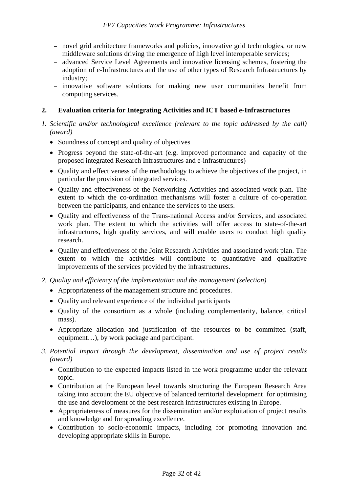- − novel grid architecture frameworks and policies, innovative grid technologies, or new middleware solutions driving the emergence of high level interoperable services;
- − advanced Service Level Agreements and innovative licensing schemes, fostering the adoption of e-Infrastructures and the use of other types of Research Infrastructures by industry;
- − innovative software solutions for making new user communities benefit from computing services.

# <span id="page-31-0"></span>**2. Evaluation criteria for Integrating Activities and ICT based e-Infrastructures**

- *1. Scientific and/or technological excellence (relevant to the topic addressed by the call) (award)* 
	- Soundness of concept and quality of objectives
	- Progress beyond the state-of-the-art (e.g. improved performance and capacity of the proposed integrated Research Infrastructures and e-infrastructures)
	- Quality and effectiveness of the methodology to achieve the objectives of the project, in particular the provision of integrated services.
	- Quality and effectiveness of the Networking Activities and associated work plan. The extent to which the co-ordination mechanisms will foster a culture of co-operation between the participants, and enhance the services to the users.
	- Quality and effectiveness of the Trans-national Access and/or Services, and associated work plan. The extent to which the activities will offer access to state-of-the-art infrastructures, high quality services, and will enable users to conduct high quality research.
	- Quality and effectiveness of the Joint Research Activities and associated work plan. The extent to which the activities will contribute to quantitative and qualitative improvements of the services provided by the infrastructures.

# *2. Quality and efficiency of the implementation and the management (selection)*

- Appropriateness of the management structure and procedures.
- Ouality and relevant experience of the individual participants
- Quality of the consortium as a whole (including complementarity, balance, critical mass).
- Appropriate allocation and justification of the resources to be committed (staff, equipment…), by work package and participant.
- *3. Potential impact through the development, dissemination and use of project results (award)* 
	- Contribution to the expected impacts listed in the work programme under the relevant topic.
	- Contribution at the European level towards structuring the European Research Area taking into account the EU objective of balanced territorial development for optimising the use and development of the best research infrastructures existing in Europe.
	- Appropriateness of measures for the dissemination and/or exploitation of project results and knowledge and for spreading excellence.
	- Contribution to socio-economic impacts, including for promoting innovation and developing appropriate skills in Europe.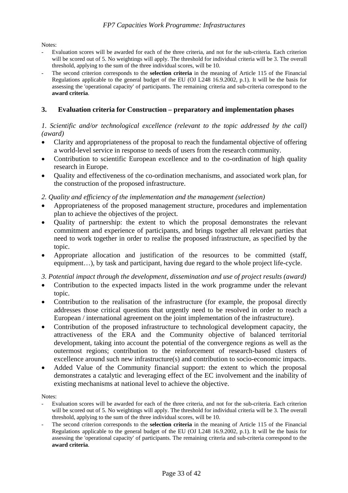Notes:

- Evaluation scores will be awarded for each of the three criteria, and not for the sub-criteria. Each criterion will be scored out of 5. No weightings will apply. The threshold for individual criteria will be 3. The overall threshold, applying to the sum of the three individual scores, will be 10.
- The second criterion corresponds to the **selection criteria** in the meaning of Article 115 of the Financial Regulations applicable to the general budget of the EU (OJ L248 16.9.2002, p.1). It will be the basis for assessing the 'operational capacity' of participants. The remaining criteria and sub-criteria correspond to the **award criteria**.

#### <span id="page-32-0"></span>**3. Evaluation criteria for Construction – preparatory and implementation phases**

## *1. Scientific and/or technological excellence (relevant to the topic addressed by the call) (award)*

- Clarity and appropriateness of the proposal to reach the fundamental objective of offering a world-level service in response to needs of users from the research community.
- Contribution to scientific European excellence and to the co-ordination of high quality research in Europe.
- Quality and effectiveness of the co-ordination mechanisms, and associated work plan, for the construction of the proposed infrastructure.

#### *2. Quality and efficiency of the implementation and the management (selection)*

- Appropriateness of the proposed management structure, procedures and implementation plan to achieve the objectives of the project.
- Quality of partnership: the extent to which the proposal demonstrates the relevant commitment and experience of participants, and brings together all relevant parties that need to work together in order to realise the proposed infrastructure, as specified by the topic.
- Appropriate allocation and justification of the resources to be committed (staff, equipment…), by task and participant, having due regard to the whole project life-cycle.

*3. Potential impact through the development, dissemination and use of project results (award)* 

- Contribution to the expected impacts listed in the work programme under the relevant topic.
- Contribution to the realisation of the infrastructure (for example, the proposal directly addresses those critical questions that urgently need to be resolved in order to reach a European / international agreement on the joint implementation of the infrastructure).
- Contribution of the proposed infrastructure to technological development capacity, the attractiveness of the ERA and the Community objective of balanced territorial development, taking into account the potential of the convergence regions as well as the outermost regions; contribution to the reinforcement of research-based clusters of excellence around such new infrastructure(s) and contribution to socio-economic impacts.
- Added Value of the Community financial support: the extent to which the proposal demonstrates a catalytic and leveraging effect of the EC involvement and the inability of existing mechanisms at national level to achieve the objective.

Notes:

- Evaluation scores will be awarded for each of the three criteria, and not for the sub-criteria. Each criterion will be scored out of 5. No weightings will apply. The threshold for individual criteria will be 3. The overall threshold, applying to the sum of the three individual scores, will be 10.
- The second criterion corresponds to the **selection criteria** in the meaning of Article 115 of the Financial Regulations applicable to the general budget of the EU (OJ L248 16.9.2002, p.1). It will be the basis for assessing the 'operational capacity' of participants. The remaining criteria and sub-criteria correspond to the **award criteria**.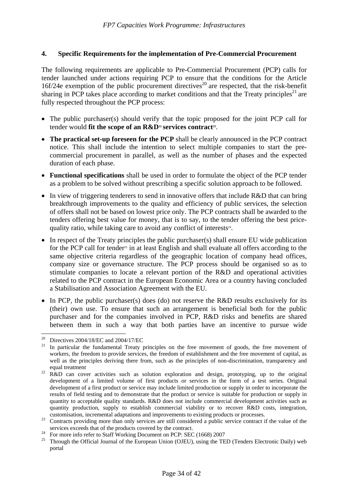## <span id="page-33-0"></span>**4. Specific Requirements for the implementation of Pre-Commercial Procurement**

The following requirements are applicable to Pre-Commercial Procurement (PCP) calls for tender launched under actions requiring PCP to ensure that the conditions for the Article 16f/24e exemption of the public procurement directives<sup>20</sup> are respected, that the risk-benefit sharing in PCP takes place according to market conditions and that the Treaty principles<sup>21</sup> are fully respected throughout the PCP process:

- The public purchaser(s) should verify that the topic proposed for the joint PCP call for tender would **fit the scope of an R&D**<sup>22</sup> **services contract**<sup>23</sup>.
- **The practical set-up foreseen for the PCP** shall be clearly announced in the PCP contract notice. This shall include the intention to select multiple companies to start the precommercial procurement in parallel, as well as the number of phases and the expected duration of each phase.
- **Functional specifications** shall be used in order to formulate the object of the PCP tender as a problem to be solved without prescribing a specific solution approach to be followed.
- In view of triggering tenderers to send in innovative offers that include R&D that can bring breakthrough improvements to the quality and efficiency of public services, the selection of offers shall not be based on lowest price only. The PCP contracts shall be awarded to the tenders offering best value for money, that is to say, to the tender offering the best pricequality ratio, while taking care to avoid any conflict of interests<sup>24</sup>.
- In respect of the Treaty principles the public purchaser(s) shall ensure EU wide publication for the PCP call for tender<sup>25</sup> in at least English and shall evaluate all offers according to the same objective criteria regardless of the geographic location of company head offices, company size or governance structure. The PCP process should be organised so as to stimulate companies to locate a relevant portion of the R&D and operational activities related to the PCP contract in the European Economic Area or a country having concluded a Stabilisation and Association Agreement with the EU.
- In PCP, the public purchaser(s) does (do) not reserve the R&D results exclusively for its (their) own use. To ensure that such an arrangement is beneficial both for the public purchaser and for the companies involved in PCP, R&D risks and benefits are shared between them in such a way that both parties have an incentive to pursue wide

<sup>&</sup>lt;sup>20</sup> Directives 2004/18/EC and 2004/17/EC<br><sup>21</sup> In norticular the fundamental Treaty

In particular the fundamental Treaty principles on the free movement of goods, the free movement of workers, the freedom to provide services, the freedom of establishment and the free movement of capital, as well as the principles deriving there from, such as the principles of non-discrimination, transparency and

equal treatment<br><sup>22</sup> R&D can cover activities such as solution exploration and design, prototyping, up to the original development of a limited volume of first products or services in the form of a test series. Original development of a first product or service may include limited production or supply in order to incorporate the results of field testing and to demonstrate that the product or service is suitable for production or supply in quantity to acceptable quality standards. R&D does not include commercial development activities such as quantity production, supply to establish commercial viability or to recover R&D costs, integration,

customisation, incremental adaptations and improvements to existing products or processes. 23 Contracts providing more than only services are still considered a public service contract if the value of the services exceeds that of the products covered by the contract.<br><sup>24</sup> For more info refer to Staff Working Document on PCP: SEC (1668) 2007<br><sup>25</sup> Through the Official Journal of the European Union (OIEU), using the TE

<sup>25</sup> Through the Official Journal of the European Union (OJEU), using the TED (Tenders Electronic Daily) web portal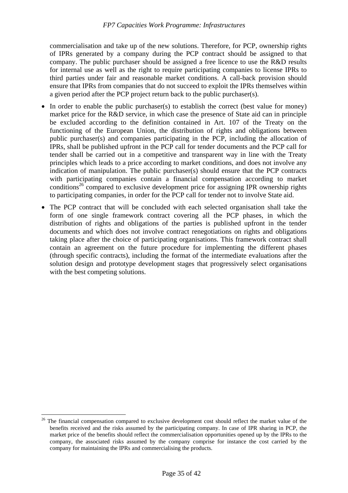commercialisation and take up of the new solutions. Therefore, for PCP, ownership rights of IPRs generated by a company during the PCP contract should be assigned to that company. The public purchaser should be assigned a free licence to use the R&D results for internal use as well as the right to require participating companies to license IPRs to third parties under fair and reasonable market conditions. A call-back provision should ensure that IPRs from companies that do not succeed to exploit the IPRs themselves within a given period after the PCP project return back to the public purchaser(s).

- In order to enable the public purchaser(s) to establish the correct (best value for money) market price for the R&D service, in which case the presence of State aid can in principle be excluded according to the definition contained in Art. 107 of the Treaty on the functioning of the European Union, the distribution of rights and obligations between public purchaser(s) and companies participating in the PCP, including the allocation of IPRs, shall be published upfront in the PCP call for tender documents and the PCP call for tender shall be carried out in a competitive and transparent way in line with the Treaty principles which leads to a price according to market conditions, and does not involve any indication of manipulation. The public purchaser(s) should ensure that the PCP contracts with participating companies contain a financial compensation according to market conditions<sup>26</sup> compared to exclusive development price for assigning IPR ownership rights to participating companies, in order for the PCP call for tender not to involve State aid.
- The PCP contract that will be concluded with each selected organisation shall take the form of one single framework contract covering all the PCP phases, in which the distribution of rights and obligations of the parties is published upfront in the tender documents and which does not involve contract renegotiations on rights and obligations taking place after the choice of participating organisations. This framework contract shall contain an agreement on the future procedure for implementing the different phases (through specific contracts), including the format of the intermediate evaluations after the solution design and prototype development stages that progressively select organisations with the best competing solutions.

<sup>&</sup>lt;sup>26</sup> The financial compensation compared to exclusive development cost should reflect the market value of the benefits received and the risks assumed by the participating company. In case of IPR sharing in PCP, the market price of the benefits should reflect the commercialisation opportunities opened up by the IPRs to the company, the associated risks assumed by the company comprise for instance the cost carried by the company for maintaining the IPRs and commercialising the products.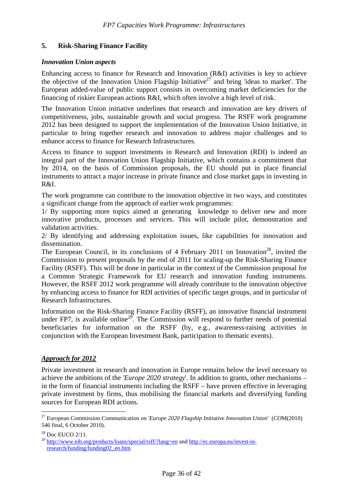# <span id="page-35-0"></span>**5. Risk-Sharing Finance Facility**

#### *Innovation Union aspects*

Enhancing access to finance for Research and Innovation (R&I) activities is key to achieve the objective of the Innovation Union Flagship Initiative<sup>27</sup> and bring 'ideas to market'. The European added-value of public support consists in overcoming market deficiencies for the financing of riskier European actions R&I, which often involve a high level of risk.

The Innovation Union initiative underlines that research and innovation are key drivers of competitiveness, jobs, sustainable growth and social progress. The RSFF work programme 2012 has been designed to support the implementation of the Innovation Union Initiative, in particular to bring together research and innovation to address major challenges and to enhance access to finance for Research Infrastructures.

Access to finance to support investments in Research and Innovation (RDI) is indeed an integral part of the Innovation Union Flagship Initiative, which contains a commitment that by 2014, on the basis of Commission proposals, the EU should put in place financial instruments to attract a major increase in private finance and close market gaps in investing in R&I.

The work programme can contribute to the innovation objective in two ways, and constitutes a significant change from the approach of earlier work programmes:

1/ By supporting more topics aimed at generating knowledge to deliver new and more innovative products, processes and services. This will include pilot, demonstration and validation activities.

2/ By identifying and addressing exploitation issues, like capabilities for innovation and dissemination.

The European Council, in its conclusions of 4 February 2011 on Innovation<sup>28</sup>, invited the Commission to present proposals by the end of 2011 for scaling-up the Risk-Sharing Finance Facility (RSFF). This will be done in particular in the context of the Commission proposal for a Common Strategic Framework for EU research and innovation funding instruments. However, the RSFF 2012 work programme will already contribute to the innovation objective by enhancing access to finance for RDI activities of specific target groups, and in particular of Research Infrastructures.

Information on the Risk-Sharing Finance Facility (RSFF), an innovative financial instrument under FP7, is available online<sup>29</sup>. The Commission will respond to further needs of potential beneficiaries for information on the RSFF (by, e.g., awareness-raising activities in conjunction with the European Investment Bank, participation to thematic events).

# *Approach for 2012*

Private investment in research and innovation in Europe remains below the level necessary to achieve the ambitions of the *'Europe 2020 strategy*'. In addition to grants, other mechanisms – in the form of financial instruments including the RSFF – have proven effective in leveraging private investment by firms, thus mobilising the financial markets and diversifying funding sources for European RDI actions*.*

<sup>27</sup> European Commission Communication on *'Europe 2020 Flagship Initiative Innovation Union'* (COM(2010) 546 final, 6 October 2010).

<sup>&</sup>lt;sup>28</sup> Doc EUCO 2/11.

<sup>&</sup>lt;sup>29</sup> [http://www.eib.org/products/loans/special/rsff/?lang=en a](http://www.eib.org/products/loans/special/rsff/?lang=en)nd [http://ec.europa.eu/invest-in](http://ec.europa.eu/invest-in-research/funding/funding02_en.htm)[research/funding/funding02\\_en.htm](http://ec.europa.eu/invest-in-research/funding/funding02_en.htm)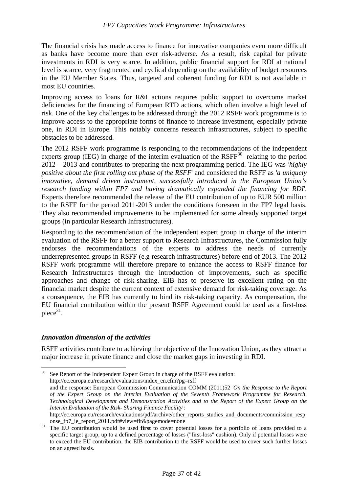The financial crisis has made access to finance for innovative companies even more difficult as banks have become more than ever risk-adverse. As a result, risk capital for private investments in RDI is very scarce. In addition, public financial support for RDI at national level is scarce, very fragmented and cyclical depending on the availability of budget resources in the EU Member States. Thus, targeted and coherent funding for RDI is not available in most EU countries.

Improving access to loans for R&I actions requires public support to overcome market deficiencies for the financing of European RTD actions, which often involve a high level of risk. One of the key challenges to be addressed through the 2012 RSFF work programme is to improve access to the appropriate forms of finance to increase investment, especially private one, in RDI in Europe. This notably concerns research infrastructures, subject to specific obstacles to be addressed.

The 2012 RSFF work programme is responding to the recommendations of the independent experts group (IEG) in charge of the interim evaluation of the  $RSFF<sup>30</sup>$  relating to the period 2012 – 2013 and contributes to preparing the next programming period. The IEG was *'highly positive about the first rolling out phase of the RSFF*' and considered the RSFF as *'a uniquely innovative, demand driven instrument, successfully introduced in the European Union's research funding within FP7 and having dramatically expanded the financing for RDI*'. Experts therefore recommended the release of the EU contribution of up to EUR 500 million to the RSFF for the period 2011-2013 under the conditions foreseen in the FP7 legal basis. They also recommended improvements to be implemented for some already supported target groups (in particular Research Infrastructures).

Responding to the recommendation of the independent expert group in charge of the interim evaluation of the RSFF for a better support to Research Infrastructures, the Commission fully endorses the recommendations of the experts to address the needs of currently underrepresented groups in RSFF (e.g research infrastructures) before end of 2013. The 2012 RSFF work programme will therefore prepare to enhance the access to RSFF finance for Research Infrastructures through the introduction of improvements, such as specific approaches and change of risk-sharing. EIB has to preserve its excellent rating on the financial market despite the current context of extensive demand for risk-taking coverage. As a consequence, the EIB has currently to bind its risk-taking capacity. As compensation, the EU financial contribution within the present RSFF Agreement could be used as a first-loss piece $31$ .

# *Innovation dimension of the activities*

 $\overline{a}$ 

RSFF activities contribute to achieving the objective of the Innovation Union, as they attract a major increase in private finance and close the market gaps in investing in RDI.

<sup>&</sup>lt;sup>30</sup> See Report of the Independent Expert Group in charge of the RSFF evaluation: http://ec.europa.eu/research/evaluations/index\_en.cfm?pg=rsff and the response: European Commission Communication COMM (2011)52 *'On the Response to the Report of the Expert Group on the Interim Evaluation of the Seventh Framework Programme for Research, Technological Development and Demonstration Activities and to the Report of the Expert Group on the Interim Evaluation of the Risk- Sharing Finance Facility*': http://ec.europa.eu/research/evaluations/pdf/archive/other\_reports\_studies\_and\_documents/commission\_resp

onse\_fp7\_ie\_report\_2011.pdf#view=fit&pagemode=none 31 The EU contribution would be used **first** to cover potential losses for a portfolio of loans provided to a specific target group, up to a defined percentage of losses ("first-loss" cushion). Only if potential losses were to exceed the EU contribution, the EIB contribution to the RSFF would be used to cover such further losses on an agreed basis.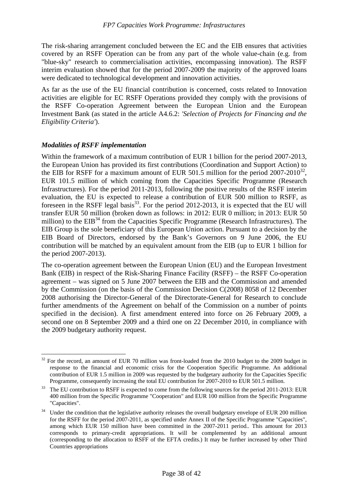The risk-sharing arrangement concluded between the EC and the EIB ensures that activities covered by an RSFF Operation can be from any part of the whole value-chain (e.g. from "blue-sky" research to commercialisation activities, encompassing innovation). The RSFF interim evaluation showed that for the period 2007-2009 the majority of the approved loans were dedicated to technological development and innovation activities.

As far as the use of the EU financial contribution is concerned, costs related to Innovation activities are eligible for EC RSFF Operations provided they comply with the provisions of the RSFF Co-operation Agreement between the European Union and the European Investment Bank (as stated in the article A4.6.2: *'Selection of Projects for Financing and the Eligibility Criteria'*).

# *Modalities of RSFF implementation*

Within the framework of a maximum contribution of EUR 1 billion for the period 2007-2013, the European Union has provided its first contributions (Coordination and Support Action) to the EIB for RSFF for a maximum amount of EUR 501.5 million for the period  $2007-2010^{32}$ , EUR 101.5 million of which coming from the Capacities Specific Programme (Research Infrastructures). For the period 2011-2013, following the positive results of the RSFF interim evaluation, the EU is expected to release a contribution of EUR 500 million to RSFF, as foreseen in the RSFF legal basis<sup>33</sup>. For the period 2012-2013, it is expected that the EU will transfer EUR 50 million (broken down as follows: in 2012: EUR 0 million; in 2013: EUR 50 million) to the  $EIB<sup>34</sup>$  from the Capacities Specific Programme (Research Infrastructures). The EIB Group is the sole beneficiary of this European Union action. Pursuant to a decision by the EIB Board of Directors, endorsed by the Bank's Governors on 9 June 2006, the EU contribution will be matched by an equivalent amount from the EIB (up to EUR 1 billion for the period 2007-2013).

The co-operation agreement between the European Union (EU) and the European Investment Bank (EIB) in respect of the Risk-Sharing Finance Facility (RSFF) – the RSFF Co-operation agreement – was signed on 5 June 2007 between the EIB and the Commission and amended by the Commission (on the basis of the Commission Decision C(2008) 8058 of 12 December 2008 authorising the Director-General of the Directorate-General for Research to conclude further amendments of the Agreement on behalf of the Commission on a number of points specified in the decision). A first amendment entered into force on 26 February 2009, a second one on 8 September 2009 and a third one on 22 December 2010, in compliance with the 2009 budgetary authority request.

 $\overline{a}$ <sup>32</sup> For the record, an amount of EUR 70 million was front-loaded from the 2010 budget to the 2009 budget in response to the financial and economic crisis for the Cooperation Specific Programme. An additional contribution of EUR 1.5 million in 2009 was requested by the budgetary authority for the Capacities Specific

Programme, consequently increasing the total EU contribution for 2007-2010 to EUR 501.5 million.<br><sup>33</sup> The EU contribution to RSFF is expected to come from the following sources for the period 2011-2013: EUR 400 million from the Specific Programme "Cooperation" and EUR 100 million from the Specific Programme "Capacities".

<sup>&</sup>lt;sup>34</sup> Under the condition that the legislative authority releases the overall budgetary envelope of EUR 200 million for the RSFF for the period 2007-2011, as specified under Annex II of the Specific Programme "Capacities", among which EUR 150 million have been committed in the 2007-2011 period.. This amount for 2013 corresponds to primary-credit appropriations. It will be complemented by an additional amount (corresponding to the allocation to RSFF of the EFTA credits.) It may be further increased by other Third Countries appropriations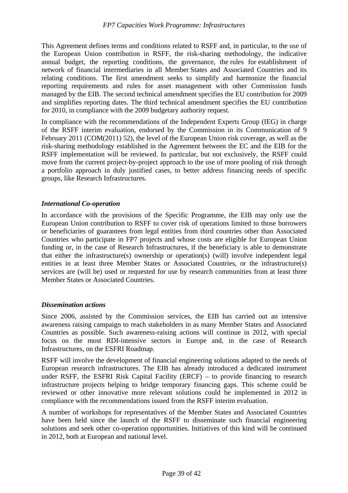This Agreement defines terms and conditions related to RSFF and, in particular, to the use of the European Union contribution in RSFF, the risk-sharing methodology, the indicative annual budget, the reporting conditions, the governance, the rules for establishment of network of financial intermediaries in all Member States and Associated Countries and its relating conditions. The first amendment seeks to simplify and harmonize the financial reporting requirements and rules for asset management with other Commission funds managed by the EIB. The second technical amendment specifies the EU contribution for 2009 and simplifies reporting dates. The third technical amendment specifies the EU contribution for 2010, in compliance with the 2009 budgetary authority request.

In compliance with the recommendations of the Independent Experts Group (IEG) in charge of the RSFF interim evaluation, endorsed by the Commission in its Communication of 9 February 2011 (COM(2011) 52), the level of the European Union risk coverage, as well as the risk-sharing methodology established in the Agreement between the EC and the EIB for the RSFF implementation will be reviewed. In particular, but not exclusively, the RSFF could move from the current project-by-project approach to the use of more pooling of risk through a portfolio approach in duly justified cases, to better address financing needs of specific groups, like Research Infrastructures.

## *International Co-operation*

In accordance with the provisions of the Specific Programme, the EIB may only use the European Union contribution to RSFF to cover risk of operations limited to those borrowers or beneficiaries of guarantees from legal entities from third countries other than Associated Countries who participate in FP7 projects and whose costs are eligible for European Union funding or, in the case of Research Infrastructures, if the beneficiary is able to demonstrate that either the infrastructure(s) ownership or operation(s) (will) involve independent legal entities in at least three Member States or Associated Countries, or the infrastructure(s) services are (will be) used or requested for use by research communities from at least three Member States or Associated Countries.

#### *Dissemination actions*

Since 2006, assisted by the Commission services, the EIB has carried out an intensive awareness raising campaign to reach stakeholders in as many Member States and Associated Countries as possible. Such awareness-raising actions will continue in 2012, with special focus on the most RDI-intensive sectors in Europe and, in the case of Research Infrastructures, on the ESFRI Roadmap.

RSFF will involve the development of financial engineering solutions adapted to the needs of European research infrastructures. The EIB has already introduced a dedicated instrument under RSFF, the ESFRI Risk Capital Facility (ERCF) – to provide financing to research infrastructure projects helping to bridge temporary financing gaps. This scheme could be reviewed or other innovative more relevant solutions could be implemented in 2012 in compliance with the recommendations issued from the RSFF interim evaluation.

A number of workshops for representatives of the Member States and Associated Countries have been held since the launch of the RSFF to disseminate such financial engineering solutions and seek other co-operation opportunities. Initiatives of this kind will be continued in 2012, both at European and national level.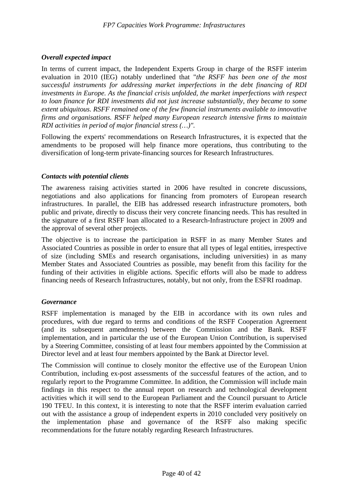# *Overall expected impact*

In terms of current impact, the Independent Experts Group in charge of the RSFF interim evaluation in 2010 (IEG) notably underlined that "*the RSFF has been one of the most successful instruments for addressing market imperfections in the debt financing of RDI investments in Europe. As the financial crisis unfolded, the market imperfections with respect to loan finance for RDI investments did not just increase substantially, they became to some extent ubiquitous. RSFF remained one of the few financial instruments available to innovative firms and organisations. RSFF helped many European research intensive firms to maintain RDI activities in period of major financial stress (…)".*

Following the experts' recommendations on Research Infrastructures, it is expected that the amendments to be proposed will help finance more operations, thus contributing to the diversification of long-term private-financing sources for Research Infrastructures.

#### *Contacts with potential clients*

The awareness raising activities started in 2006 have resulted in concrete discussions, negotiations and also applications for financing from promoters of European research infrastructures. In parallel, the EIB has addressed research infrastructure promoters, both public and private, directly to discuss their very concrete financing needs. This has resulted in the signature of a first RSFF loan allocated to a Research-Infrastructure project in 2009 and the approval of several other projects.

The objective is to increase the participation in RSFF in as many Member States and Associated Countries as possible in order to ensure that all types of legal entities, irrespective of size (including SMEs and research organisations, including universities) in as many Member States and Associated Countries as possible, may benefit from this facility for the funding of their activities in eligible actions. Specific efforts will also be made to address financing needs of Research Infrastructures, notably, but not only, from the ESFRI roadmap.

#### *Governance*

RSFF implementation is managed by the EIB in accordance with its own rules and procedures, with due regard to terms and conditions of the RSFF Cooperation Agreement (and its subsequent amendments) between the Commission and the Bank. RSFF implementation, and in particular the use of the European Union Contribution, is supervised by a Steering Committee, consisting of at least four members appointed by the Commission at Director level and at least four members appointed by the Bank at Director level.

The Commission will continue to closely monitor the effective use of the European Union Contribution, including ex-post assessments of the successful features of the action, and to regularly report to the Programme Committee. In addition, the Commission will include main findings in this respect to the annual report on research and technological development activities which it will send to the European Parliament and the Council pursuant to Article 190 TFEU. In this context, it is interesting to note that the RSFF interim evaluation carried out with the assistance a group of independent experts in 2010 concluded very positively on the implementation phase and governance of the RSFF also making specific recommendations for the future notably regarding Research Infrastructures.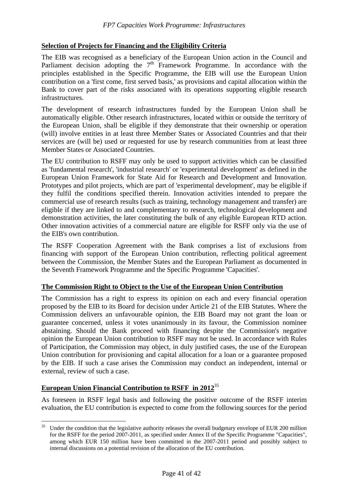# **Selection of Projects for Financing and the Eligibility Criteria**

The EIB was recognised as a beneficiary of the European Union action in the Council and Parliament decision adopting the  $7<sup>th</sup>$  Framework Programme. In accordance with the principles established in the Specific Programme, the EIB will use the European Union contribution on a 'first come, first served basis,' as provisions and capital allocation within the Bank to cover part of the risks associated with its operations supporting eligible research infrastructures.

The development of research infrastructures funded by the European Union shall be automatically eligible. Other research infrastructures, located within or outside the territory of the European Union, shall be eligible if they demonstrate that their ownership or operation (will) involve entities in at least three Member States or Associated Countries and that their services are (will be) used or requested for use by research communities from at least three Member States or Associated Countries.

The EU contribution to RSFF may only be used to support activities which can be classified as 'fundamental research', 'industrial research' or 'experimental development' as defined in the European Union Framework for State Aid for Research and Development and Innovation. Prototypes and pilot projects, which are part of 'experimental development', may be eligible if they fulfil the conditions specified therein. Innovation activities intended to prepare the commercial use of research results (such as training, technology management and transfer) are eligible if they are linked to and complementary to research, technological development and demonstration activities, the later constituting the bulk of any eligible European RTD action. Other innovation activities of a commercial nature are eligible for RSFF only via the use of the EIB's own contribution.

The RSFF Cooperation Agreement with the Bank comprises a list of exclusions from financing with support of the European Union contribution, reflecting political agreement between the Commission, the Member States and the European Parliament as documented in the Seventh Framework Programme and the Specific Programme 'Capacities'.

# **The Commission Right to Object to the Use of the European Union Contribution**

The Commission has a right to express its opinion on each and every financial operation proposed by the EIB to its Board for decision under Article 21 of the EIB Statutes. Where the Commission delivers an unfavourable opinion, the EIB Board may not grant the loan or guarantee concerned, unless it votes unanimously in its favour, the Commission nominee abstaining. Should the Bank proceed with financing despite the Commission's negative opinion the European Union contribution to RSFF may not be used. In accordance with Rules of Participation, the Commission may object, in duly justified cases, the use of the European Union contribution for provisioning and capital allocation for a loan or a guarantee proposed by the EIB. If such a case arises the Commission may conduct an independent, internal or external, review of such a case.

# **European Union Financial Contribution to RSFF in 2012**<sup>35</sup>

As foreseen in RSFF legal basis and following the positive outcome of the RSFF interim evaluation, the EU contribution is expected to come from the following sources for the period

 $35$ Under the condition that the legislative authority releases the overall budgetary envelope of EUR 200 million for the RSFF for the period 2007-2011, as specified under Annex II of the Specific Programme "Capacities", among which EUR 150 million have been committed in the 2007-2011 period and possibly subject to internal discussions on a potential revision of the allocation of the EU contribution.